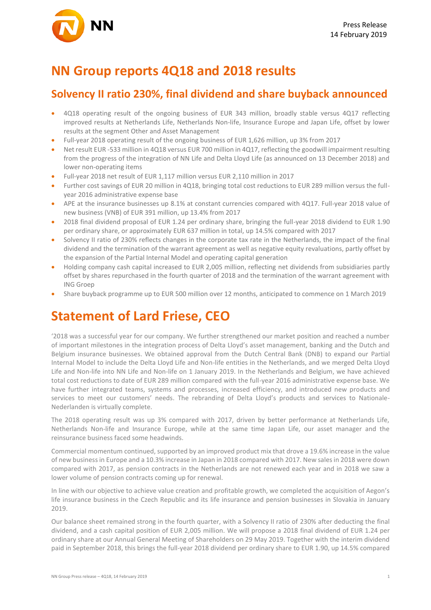

## **NN Group reports 4Q18 and 2018 results**

### **Solvency II ratio 230%, final dividend and share buyback announced**

- 4Q18 operating result of the ongoing business of EUR 343 million, broadly stable versus 4Q17 reflecting improved results at Netherlands Life, Netherlands Non-life, Insurance Europe and Japan Life, offset by lower results at the segment Other and Asset Management
- Full-year 2018 operating result of the ongoing business of EUR 1,626 million, up 3% from 2017
- Net result EUR -533 million in 4Q18 versus EUR 700 million in 4Q17, reflecting the goodwill impairment resulting from the progress of the integration of NN Life and Delta Lloyd Life (as announced on 13 December 2018) and lower non-operating items
- Full-year 2018 net result of EUR 1,117 million versus EUR 2,110 million in 2017
- Further cost savings of EUR 20 million in 4Q18, bringing total cost reductions to EUR 289 million versus the fullyear 2016 administrative expense base
- APE at the insurance businesses up 8.1% at constant currencies compared with 4Q17. Full-year 2018 value of new business (VNB) of EUR 391 million, up 13.4% from 2017
- 2018 final dividend proposal of EUR 1.24 per ordinary share, bringing the full-year 2018 dividend to EUR 1.90 per ordinary share, or approximately EUR 637 million in total, up 14.5% compared with 2017
- Solvency II ratio of 230% reflects changes in the corporate tax rate in the Netherlands, the impact of the final dividend and the termination of the warrant agreement as well as negative equity revaluations, partly offset by the expansion of the Partial Internal Model and operating capital generation
- Holding company cash capital increased to EUR 2,005 million, reflecting net dividends from subsidiaries partly offset by shares repurchased in the fourth quarter of 2018 and the termination of the warrant agreement with ING Groep
- Share buyback programme up to EUR 500 million over 12 months, anticipated to commence on 1 March 2019

### **Statement of Lard Friese, CEO**

'2018 was a successful year for our company. We further strengthened our market position and reached a number of important milestones in the integration process of Delta Lloyd's asset management, banking and the Dutch and Belgium insurance businesses. We obtained approval from the Dutch Central Bank (DNB) to expand our Partial Internal Model to include the Delta Lloyd Life and Non-life entities in the Netherlands, and we merged Delta Lloyd Life and Non-life into NN Life and Non-life on 1 January 2019. In the Netherlands and Belgium, we have achieved total cost reductions to date of EUR 289 million compared with the full-year 2016 administrative expense base. We have further integrated teams, systems and processes, increased efficiency, and introduced new products and services to meet our customers' needs. The rebranding of Delta Lloyd's products and services to Nationale-Nederlanden is virtually complete.

The 2018 operating result was up 3% compared with 2017, driven by better performance at Netherlands Life, Netherlands Non-life and Insurance Europe, while at the same time Japan Life, our asset manager and the reinsurance business faced some headwinds.

Commercial momentum continued, supported by an improved product mix that drove a 19.6% increase in the value of new businessin Europe and a 10.3% increase in Japan in 2018 compared with 2017. New sales in 2018 were down compared with 2017, as pension contracts in the Netherlands are not renewed each year and in 2018 we saw a lower volume of pension contracts coming up for renewal.

In line with our objective to achieve value creation and profitable growth, we completed the acquisition of Aegon's life insurance business in the Czech Republic and its life insurance and pension businesses in Slovakia in January 2019.

Our balance sheet remained strong in the fourth quarter, with a Solvency II ratio of 230% after deducting the final dividend, and a cash capital position of EUR 2,005 million. We will propose a 2018 final dividend of EUR 1.24 per ordinary share at our Annual General Meeting of Shareholders on 29 May 2019. Together with the interim dividend paid in September 2018, this brings the full-year 2018 dividend per ordinary share to EUR 1.90, up 14.5% compared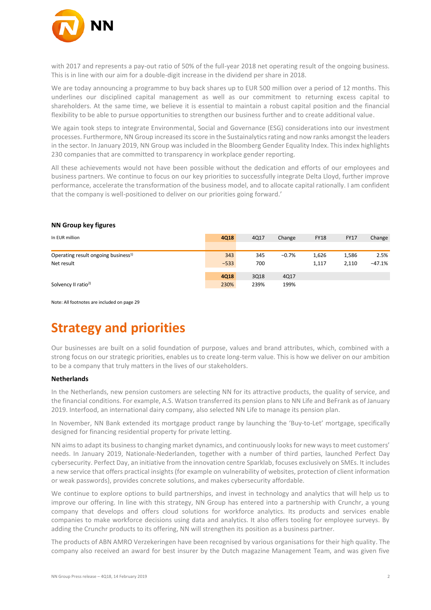

with 2017 and represents a pay-out ratio of 50% of the full-year 2018 net operating result of the ongoing business. This is in line with our aim for a double-digit increase in the dividend per share in 2018.

We are today announcing a programme to buy back shares up to EUR 500 million over a period of 12 months. This underlines our disciplined capital management as well as our commitment to returning excess capital to shareholders. At the same time, we believe it is essential to maintain a robust capital position and the financial flexibility to be able to pursue opportunities to strengthen our business further and to create additional value.

We again took steps to integrate Environmental, Social and Governance (ESG) considerations into our investment processes. Furthermore, NN Group increased its score in the Sustainalytics rating and now ranks amongst the leaders in the sector. In January 2019, NN Group was included in the Bloomberg Gender Equality Index. This index highlights 230 companies that are committed to transparency in workplace gender reporting.

All these achievements would not have been possible without the dedication and efforts of our employees and business partners. We continue to focus on our key priorities to successfully integrate Delta Lloyd, further improve performance, accelerate the transformation of the business model, and to allocate capital rationally. I am confident that the company is well-positioned to deliver on our priorities going forward.'

| In EUR million                                  | 4Q18   | 4Q17 | Change  | <b>FY18</b> | <b>FY17</b> | Change   |
|-------------------------------------------------|--------|------|---------|-------------|-------------|----------|
|                                                 |        |      |         |             |             |          |
| Operating result ongoing business <sup>1)</sup> | 343    | 345  | $-0.7%$ | 1,626       | 1,586       | 2.5%     |
| Net result                                      | $-533$ | 700  |         | 1,117       | 2,110       | $-47.1%$ |
|                                                 |        |      |         |             |             |          |
|                                                 | 4Q18   | 3Q18 | 4Q17    |             |             |          |
| Solvency II ratio <sup>2)</sup>                 | 230%   | 239% | 199%    |             |             |          |

#### **NN Group key figures**

Note: All footnotes are included on page 29

# **Strategy and priorities**

Our businesses are built on a solid foundation of purpose, values and brand attributes, which, combined with a strong focus on our strategic priorities, enables us to create long-term value. This is how we deliver on our ambition to be a company that truly matters in the lives of our stakeholders.

### **Netherlands**

In the Netherlands, new pension customers are selecting NN for its attractive products, the quality of service, and the financial conditions. For example, A.S. Watson transferred its pension plans to NN Life and BeFrank as of January 2019. Interfood, an international dairy company, also selected NN Life to manage its pension plan.

In November, NN Bank extended its mortgage product range by launching the 'Buy-to-Let' mortgage, specifically designed for financing residential property for private letting.

NN aimsto adapt its businessto changing market dynamics, and continuously looksfor new waysto meet customers' needs. In January 2019, Nationale-Nederlanden, together with a number of third parties, launched Perfect Day cybersecurity. Perfect Day, an initiative from the innovation centre Sparklab, focuses exclusively on SMEs. It includes a new service that offers practical insights (for example on vulnerability of websites, protection of client information or weak passwords), provides concrete solutions, and makes cybersecurity affordable.

We continue to explore options to build partnerships, and invest in technology and analytics that will help us to improve our offering. In line with this strategy, NN Group has entered into a partnership with Crunchr, a young company that develops and offers cloud solutions for workforce analytics. Its products and services enable companies to make workforce decisions using data and analytics. It also offers tooling for employee surveys. By adding the Crunchr products to its offering, NN will strengthen its position as a business partner.

The products of ABN AMRO Verzekeringen have been recognised by various organisations for their high quality. The company also received an award for best insurer by the Dutch magazine Management Team, and was given five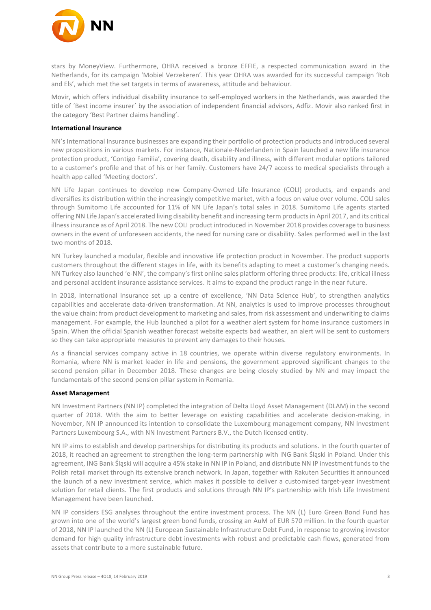

stars by MoneyView. Furthermore, OHRA received a bronze EFFIE, a respected communication award in the Netherlands, for its campaign 'Mobiel Verzekeren'. This year OHRA was awarded for its successful campaign 'Rob and Els', which met the set targets in terms of awareness, attitude and behaviour.

Movir, which offers individual disability insurance to self-employed workers in the Netherlands, was awarded the title of ´Best income insurer´ by the association of independent financial advisors, Adfiz. Movir also ranked first in the category 'Best Partner claims handling'.

#### **International Insurance**

NN's International Insurance businesses are expanding their portfolio of protection products and introduced several new propositions in various markets. For instance, Nationale-Nederlanden in Spain launched a new life insurance protection product, 'Contigo Familia', covering death, disability and illness, with different modular options tailored to a customer's profile and that of his or her family. Customers have 24/7 access to medical specialists through a health app called 'Meeting doctors'.

NN Life Japan continues to develop new Company-Owned Life Insurance (COLI) products, and expands and diversifies its distribution within the increasingly competitive market, with a focus on value over volume. COLI sales through Sumitomo Life accounted for 11% of NN Life Japan's total sales in 2018. Sumitomo Life agents started offering NN Life Japan's accelerated living disability benefit and increasing term products in April 2017, and its critical illness insurance as of April 2018. The new COLI product introduced in November 2018 provides coverage to business owners in the event of unforeseen accidents, the need for nursing care or disability. Sales performed well in the last two months of 2018.

NN Turkey launched a modular, flexible and innovative life protection product in November. The product supports customers throughout the different stages in life, with its benefits adapting to meet a customer's changing needs. NN Turkey also launched 'e-NN', the company's first online sales platform offering three products: life, critical illness and personal accident insurance assistance services. It aims to expand the product range in the near future.

In 2018, International Insurance set up a centre of excellence, 'NN Data Science Hub', to strengthen analytics capabilities and accelerate data-driven transformation. At NN, analytics is used to improve processes throughout the value chain: from product development to marketing and sales, from risk assessment and underwriting to claims management. For example, the Hub launched a pilot for a weather alert system for home insurance customers in Spain. When the official Spanish weather forecast website expects bad weather, an alert will be sent to customers so they can take appropriate measures to prevent any damages to their houses.

As a financial services company active in 18 countries, we operate within diverse regulatory environments. In Romania, where NN is market leader in life and pensions, the government approved significant changes to the second pension pillar in December 2018. These changes are being closely studied by NN and may impact the fundamentals of the second pension pillar system in Romania.

### **Asset Management**

NN Investment Partners (NN IP) completed the integration of Delta Lloyd Asset Management (DLAM) in the second quarter of 2018. With the aim to better leverage on existing capabilities and accelerate decision-making, in November, NN IP announced its intention to consolidate the Luxembourg management company, NN Investment Partners Luxembourg S.A., with NN Investment Partners B.V., the Dutch licensed entity.

NN IP aims to establish and develop partnerships for distributing its products and solutions. In the fourth quarter of 2018, it reached an agreement to strengthen the long-term partnership with ING Bank Śląski in Poland. Under this agreement, ING Bank Śląski will acquire a 45% stake in NN IP in Poland, and distribute NN IP investment funds to the Polish retail market through its extensive branch network. In Japan, together with Rakuten Securities it announced the launch of a new investment service, which makes it possible to deliver a customised target-year investment solution for retail clients. The first products and solutions through NN IP's partnership with Irish Life Investment Management have been launched.

NN IP considers ESG analyses throughout the entire investment process. The NN (L) Euro Green Bond Fund has grown into one of the world's largest green bond funds, crossing an AuM of EUR 570 million. In the fourth quarter of 2018, NN IP launched the NN (L) European Sustainable Infrastructure Debt Fund, in response to growing investor demand for high quality infrastructure debt investments with robust and predictable cash flows, generated from assets that contribute to a more sustainable future.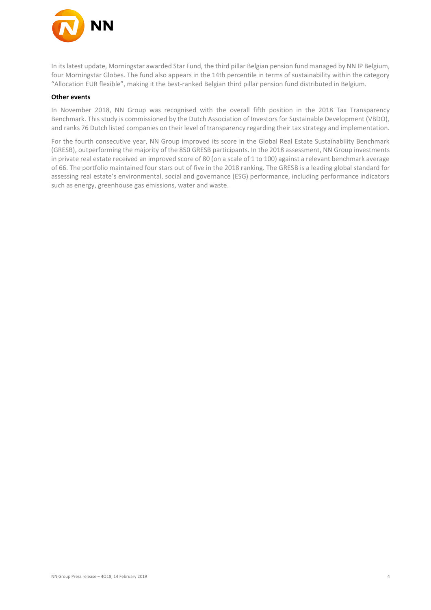

In its latest update, Morningstar awarded Star Fund, the third pillar Belgian pension fund managed by NN IP Belgium, four Morningstar Globes. The fund also appears in the 14th percentile in terms of sustainability within the category "Allocation EUR flexible", making it the best-ranked Belgian third pillar pension fund distributed in Belgium.

#### **Other events**

In November 2018, NN Group was recognised with the overall fifth position in the 2018 Tax Transparency Benchmark. This study is commissioned by the Dutch Association of Investors for Sustainable Development (VBDO), and ranks 76 Dutch listed companies on their level of transparency regarding their tax strategy and implementation.

For the fourth consecutive year, NN Group improved its score in the Global Real Estate Sustainability Benchmark (GRESB), outperforming the majority of the 850 GRESB participants. In the 2018 assessment, NN Group investments in private real estate received an improved score of 80 (on a scale of 1 to 100) against a relevant benchmark average of 66. The portfolio maintained four stars out of five in the 2018 ranking. The GRESB is a leading global standard for assessing real estate's environmental, social and governance (ESG) performance, including performance indicators such as energy, greenhouse gas emissions, water and waste.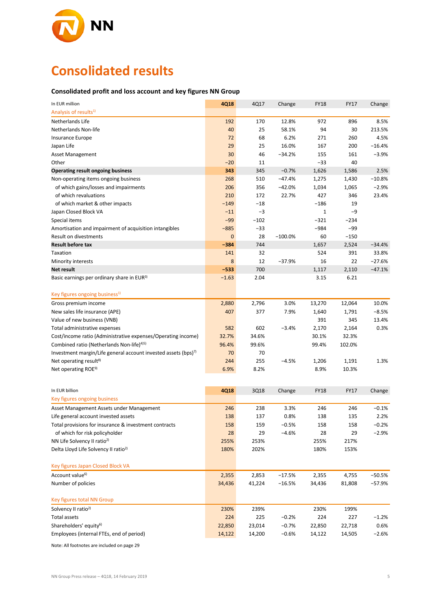

# **Consolidated results**

### **Consolidated profit and loss account and key figures NN Group**

| In EUR million                                                             | 4Q18         | 4Q17   | Change    | <b>FY18</b>  | <b>FY17</b> | Change   |
|----------------------------------------------------------------------------|--------------|--------|-----------|--------------|-------------|----------|
| Analysis of results <sup>1)</sup>                                          |              |        |           |              |             |          |
| Netherlands Life                                                           | 192          | 170    | 12.8%     | 972          | 896         | 8.5%     |
| Netherlands Non-life                                                       | 40           | 25     | 58.1%     | 94           | 30          | 213.5%   |
| Insurance Europe                                                           | 72           | 68     | 6.2%      | 271          | 260         | 4.5%     |
| Japan Life                                                                 | 29           | 25     | 16.0%     | 167          | 200         | $-16.4%$ |
| Asset Management                                                           | 30           | 46     | $-34.2%$  | 155          | 161         | $-3.9%$  |
| Other                                                                      | $-20$        | 11     |           | $-33$        | 40          |          |
| <b>Operating result ongoing business</b>                                   | 343          | 345    | $-0.7%$   | 1,626        | 1,586       | 2.5%     |
| Non-operating items ongoing business                                       | 268          | 510    | $-47.4%$  | 1,275        | 1,430       | $-10.8%$ |
| of which gains/losses and impairments                                      | 206          | 356    | $-42.0%$  | 1,034        | 1,065       | $-2.9%$  |
| of which revaluations                                                      | 210          | 172    | 22.7%     | 427          | 346         | 23.4%    |
| of which market & other impacts                                            | $-149$       | $-18$  |           | $-186$       | 19          |          |
| Japan Closed Block VA                                                      | $-11$        | $-3$   |           | $\mathbf{1}$ | -9          |          |
| Special items                                                              | $-99$        | $-102$ |           | $-321$       | $-234$      |          |
| Amortisation and impairment of acquisition intangibles                     | $-885$       | $-33$  |           | $-984$       | -99         |          |
| <b>Result on divestments</b>                                               | $\mathbf{0}$ | 28     | $-100.0%$ | 60           | $-150$      |          |
| <b>Result before tax</b>                                                   | $-384$       | 744    |           | 1,657        | 2,524       | $-34.4%$ |
| Taxation                                                                   | 141          | 32     |           | 524          | 391         | 33.8%    |
| Minority interests                                                         | 8            | 12     | $-37.9%$  | 16           | 22          | $-27.6%$ |
| Net result                                                                 | $-533$       | 700    |           | 1,117        | 2,110       | $-47.1%$ |
| Basic earnings per ordinary share in EUR <sup>3)</sup>                     | $-1.63$      | 2.04   |           | 3.15         | 6.21        |          |
|                                                                            |              |        |           |              |             |          |
| Key figures ongoing business <sup>1)</sup>                                 |              |        |           |              |             |          |
| Gross premium income                                                       | 2,880        | 2,796  | 3.0%      | 13,270       | 12,064      | 10.0%    |
| New sales life insurance (APE)                                             | 407          | 377    | 7.9%      | 1,640        | 1,791       | $-8.5%$  |
| Value of new business (VNB)                                                |              |        |           | 391          | 345         | 13.4%    |
| Total administrative expenses                                              | 582          | 602    | $-3.4%$   | 2,170        | 2,164       | 0.3%     |
| Cost/income ratio (Administrative expenses/Operating income)               | 32.7%        | 34.6%  |           | 30.1%        | 32.3%       |          |
| Combined ratio (Netherlands Non-life) <sup>4)5)</sup>                      | 96.4%        | 99.6%  |           | 99.4%        | 102.0%      |          |
| Investment margin/Life general account invested assets (bps) <sup>7)</sup> | 70           | 70     |           |              |             |          |
| Net operating result <sup>8)</sup>                                         | 244          | 255    | $-4.5%$   | 1,206        | 1,191       | 1.3%     |
| Net operating ROE <sup>9)</sup>                                            | 6.9%         | 8.2%   |           | 8.9%         | 10.3%       |          |
|                                                                            |              |        |           |              |             |          |
| In EUR billion                                                             | 4Q18         | 3Q18   | Change    | <b>FY18</b>  | <b>FY17</b> | Change   |
| Key figures ongoing business                                               |              |        |           |              |             |          |
| Asset Management Assets under Management                                   | 246          | 238    | 3.3%      | 246          | 246         | $-0.1%$  |
| Life general account invested assets                                       | 138          | 137    | 0.8%      | 138          | 135         | 2.2%     |
| Total provisions for insurance & investment contracts                      | 158          | 159    | $-0.5%$   | 158          | 158         | $-0.2%$  |
| of which for risk policyholder                                             | 28           | 29     | $-4.6%$   | 28           | 29          | $-2.9%$  |
| NN Life Solvency II ratio <sup>2)</sup>                                    | 255%         | 253%   |           | 255%         | 217%        |          |
| Delta Lloyd Life Solvency II ratio <sup>2)</sup>                           | 180%         | 202%   |           | 180%         | 153%        |          |
|                                                                            |              |        |           |              |             |          |
| Key figures Japan Closed Block VA                                          |              |        |           |              |             |          |
| Account value <sup>6)</sup>                                                | 2,355        | 2,853  | $-17.5%$  | 2,355        | 4,755       | $-50.5%$ |
| Number of policies                                                         | 34,436       | 41,224 | $-16.5%$  | 34,436       | 81,808      | $-57.9%$ |
| Key figures total NN Group                                                 |              |        |           |              |             |          |
| Solvency II ratio <sup>2)</sup>                                            | 230%         | 239%   |           | 230%         | 199%        |          |
| <b>Total assets</b>                                                        | 224          | 225    | $-0.2%$   | 224          | 227         | $-1.2%$  |
| Shareholders' equity <sup>6)</sup>                                         | 22,850       | 23,014 | $-0.7%$   | 22,850       | 22,718      | 0.6%     |
| Employees (internal FTEs, end of period)                                   | 14,122       | 14,200 | $-0.6%$   | 14,122       | 14,505      | $-2.6%$  |
|                                                                            |              |        |           |              |             |          |

Note: All footnotes are included on page 29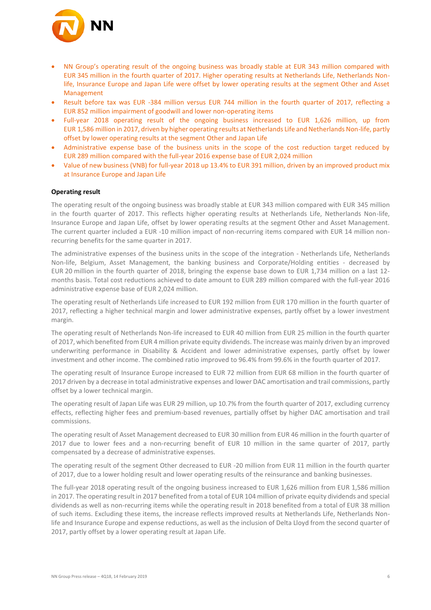

- NN Group's operating result of the ongoing business was broadly stable at EUR 343 million compared with EUR 345 million in the fourth quarter of 2017. Higher operating results at Netherlands Life, Netherlands Nonlife, Insurance Europe and Japan Life were offset by lower operating results at the segment Other and Asset Management
- Result before tax was EUR -384 million versus EUR 744 million in the fourth quarter of 2017, reflecting a EUR 852 million impairment of goodwill and lower non-operating items
- Full-year 2018 operating result of the ongoing business increased to EUR 1,626 million, up from EUR 1,586 million in 2017, driven by higher operating results at Netherlands Life and Netherlands Non-life, partly offset by lower operating results at the segment Other and Japan Life
- Administrative expense base of the business units in the scope of the cost reduction target reduced by EUR 289 million compared with the full-year 2016 expense base of EUR 2,024 million
- Value of new business (VNB) for full-year 2018 up 13.4% to EUR 391 million, driven by an improved product mix at Insurance Europe and Japan Life

#### **Operating result**

The operating result of the ongoing business was broadly stable at EUR 343 million compared with EUR 345 million in the fourth quarter of 2017. This reflects higher operating results at Netherlands Life, Netherlands Non-life, Insurance Europe and Japan Life, offset by lower operating results at the segment Other and Asset Management. The current quarter included a EUR -10 million impact of non-recurring items compared with EUR 14 million nonrecurring benefits for the same quarter in 2017.

The administrative expenses of the business units in the scope of the integration - Netherlands Life, Netherlands Non-life, Belgium, Asset Management, the banking business and Corporate/Holding entities - decreased by EUR 20 million in the fourth quarter of 2018, bringing the expense base down to EUR 1,734 million on a last 12 months basis. Total cost reductions achieved to date amount to EUR 289 million compared with the full-year 2016 administrative expense base of EUR 2,024 million.

The operating result of Netherlands Life increased to EUR 192 million from EUR 170 million in the fourth quarter of 2017, reflecting a higher technical margin and lower administrative expenses, partly offset by a lower investment margin.

The operating result of Netherlands Non-life increased to EUR 40 million from EUR 25 million in the fourth quarter of 2017, which benefited from EUR 4 million private equity dividends. The increase was mainly driven by an improved underwriting performance in Disability & Accident and lower administrative expenses, partly offset by lower investment and other income. The combined ratio improved to 96.4% from 99.6% in the fourth quarter of 2017.

The operating result of Insurance Europe increased to EUR 72 million from EUR 68 million in the fourth quarter of 2017 driven by a decrease in total administrative expenses and lower DAC amortisation and trail commissions, partly offset by a lower technical margin.

The operating result of Japan Life was EUR 29 million, up 10.7% from the fourth quarter of 2017, excluding currency effects, reflecting higher fees and premium-based revenues, partially offset by higher DAC amortisation and trail commissions.

The operating result of Asset Management decreased to EUR 30 million from EUR 46 million in the fourth quarter of 2017 due to lower fees and a non-recurring benefit of EUR 10 million in the same quarter of 2017, partly compensated by a decrease of administrative expenses.

The operating result of the segment Other decreased to EUR -20 million from EUR 11 million in the fourth quarter of 2017, due to a lower holding result and lower operating results of the reinsurance and banking businesses.

The full-year 2018 operating result of the ongoing business increased to EUR 1,626 million from EUR 1,586 million in 2017. The operating result in 2017 benefited from a total of EUR 104 million of private equity dividends and special dividends as well as non-recurring items while the operating result in 2018 benefited from a total of EUR 38 million of such items. Excluding these items, the increase reflects improved results at Netherlands Life, Netherlands Nonlife and Insurance Europe and expense reductions, as well as the inclusion of Delta Lloyd from the second quarter of 2017, partly offset by a lower operating result at Japan Life.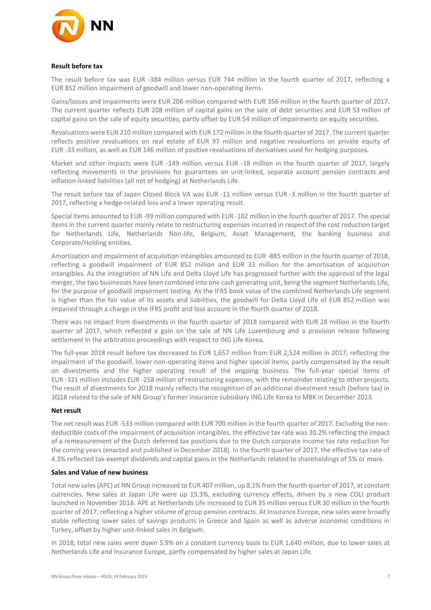

#### **Result before tax**

The result before tax was EUR -384 million versus EUR 744 million in the fourth quarter of 2017, reflecting a EUR 852 million impairment of goodwill and lower non-operating items.

Gains/losses and impairments were EUR 206 million compared with EUR 356 million in the fourth quarter of 2017. The current quarter reflects EUR 208 million of capital gains on the sale of debt securities and EUR 53 million of capital gains on the sale of equity securities, partly offset by EUR 54 million of impairments on equity securities.

Revaluations were EUR 210 million compared with EUR 172 million in the fourth quarter of 2017. The current quarter reflects positive revaluations on real estate of EUR 97 million and negative revaluations on private equity of EUR -33 million, as well as EUR 146 million of positive revaluations of derivatives used for hedging purposes.

Market and other impacts were EUR -149 million versus EUR -18 million in the fourth quarter of 2017, largely reflecting movements in the provisions for guarantees on unit-linked, separate account pension contracts and inflation-linked liabilities (all net of hedging) at Netherlands Life.

The result before tax of Japan Closed Block VA was EUR -11 million versus EUR -3 million in the fourth quarter of 2017, reflecting a hedge-related loss and a lower operating result.

Special items amounted to EUR -99 million compared with EUR -102 million in the fourth quarter of 2017. The special items in the current quarter mainly relate to restructuring expenses incurred in respect of the cost reduction target for Netherlands Life, Netherlands Non-life, Belgium, Asset Management, the banking business and Corporate/Holding entities.

Amortisation and impairment of acquisition intangibles amounted to EUR -885 million in the fourth quarter of 2018, reflecting a goodwill impairment of EUR 852 million and EUR 33 million for the amortisation of acquisition intangibles. As the integration of NN Life and Delta Lloyd Life has progressed further with the approval of the legal merger, the two businesses have been combined into one cash generating unit, being the segment Netherlands Life, for the purpose of goodwill impairment testing. As the IFRS book value of the combined Netherlands Life segment is higher than the fair value of its assets and liabilities, the goodwill for Delta Lloyd Life of EUR 852 million was impaired through a charge in the IFRS profit and loss account in the fourth quarter of 2018.

There was no impact from divestments in the fourth quarter of 2018 compared with EUR 28 million in the fourth quarter of 2017, which reflected a gain on the sale of NN Life Luxembourg and a provision release following settlement in the arbitration proceedings with respect to ING Life Korea.

The full-year 2018 result before tax decreased to EUR 1,657 million from EUR 2,524 million in 2017, reflecting the impairment of the goodwill, lower non-operating items and higher special items, partly compensated by the result on divestments and the higher operating result of the ongoing business. The full-year special items of EUR -321 million includes EUR -258 million of restructuring expenses, with the remainder relating to other projects. The result of divestments for 2018 mainly reflects the recognition of an additional divestment result (before tax) in 3Q18 related to the sale of NN Group's former insurance subsidiary ING Life Korea to MBK in December 2013.

#### **Net result**

The net result was EUR -533 million compared with EUR 700 million in the fourth quarter of 2017. Excluding the nondeductible costs of the impairment of acquisition intangibles, the effective tax rate was 30.2% reflecting the impact of a remeasurement of the Dutch deferred tax positions due to the Dutch corporate income tax rate reduction for the coming years (enacted and published in December 2018). In the fourth quarter of 2017, the effective tax rate of 4.3% reflected tax-exempt dividends and capital gains in the Netherlands related to shareholdings of 5% or more.

### **Sales and Value of new business**

Total new sales (APE) at NN Group increased to EUR 407 million, up 8.1% from the fourth quarter of 2017, at constant currencies. New sales at Japan Life were up 15.3%, excluding currency effects, driven by a new COLI product launched in November 2018. APE at Netherlands Life increased to EUR 35 million versus EUR 30 million in the fourth quarter of 2017, reflecting a higher volume of group pension contracts. At Insurance Europe, new sales were broadly stable reflecting lower sales of savings products in Greece and Spain as well as adverse economic conditions in Turkey, offset by higher unit-linked sales in Belgium.

In 2018, total new sales were down 5.9% on a constant currency basis to EUR 1,640 million, due to lower sales at Netherlands Life and Insurance Europe, partly compensated by higher sales at Japan Life.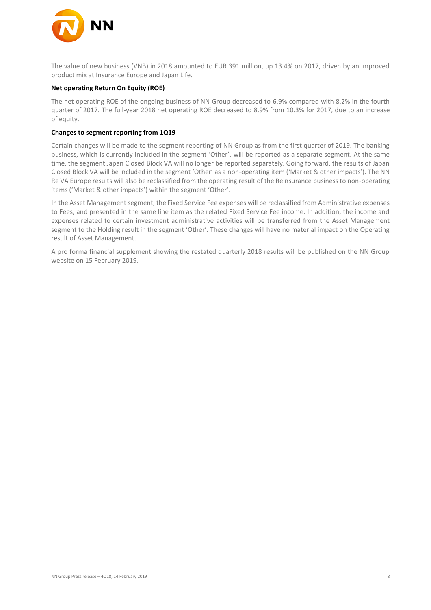

The value of new business (VNB) in 2018 amounted to EUR 391 million, up 13.4% on 2017, driven by an improved product mix at Insurance Europe and Japan Life.

#### **Net operating Return On Equity (ROE)**

The net operating ROE of the ongoing business of NN Group decreased to 6.9% compared with 8.2% in the fourth quarter of 2017. The full-year 2018 net operating ROE decreased to 8.9% from 10.3% for 2017, due to an increase of equity.

### **Changes to segment reporting from 1Q19**

Certain changes will be made to the segment reporting of NN Group as from the first quarter of 2019. The banking business, which is currently included in the segment 'Other', will be reported as a separate segment. At the same time, the segment Japan Closed Block VA will no longer be reported separately. Going forward, the results of Japan Closed Block VA will be included in the segment 'Other' as a non-operating item ('Market & other impacts'). The NN Re VA Europe results will also be reclassified from the operating result of the Reinsurance business to non-operating items ('Market & other impacts') within the segment 'Other'.

In the Asset Management segment, the Fixed Service Fee expenses will be reclassified from Administrative expenses to Fees, and presented in the same line item as the related Fixed Service Fee income. In addition, the income and expenses related to certain investment administrative activities will be transferred from the Asset Management segment to the Holding result in the segment 'Other'. These changes will have no material impact on the Operating result of Asset Management.

A pro forma financial supplement showing the restated quarterly 2018 results will be published on the NN Group website on 15 February 2019.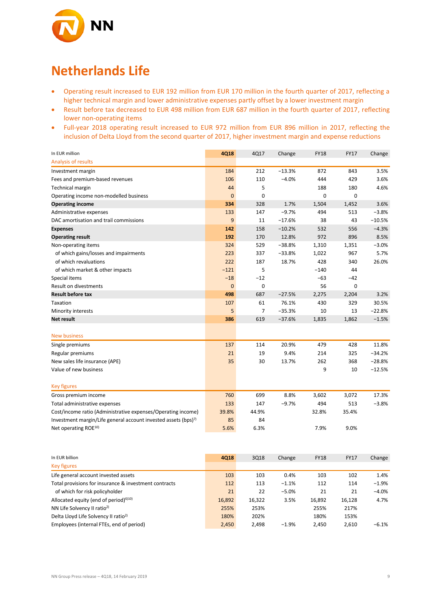

## **Netherlands Life**

- Operating result increased to EUR 192 million from EUR 170 million in the fourth quarter of 2017, reflecting a higher technical margin and lower administrative expenses partly offset by a lower investment margin
- Result before tax decreased to EUR 498 million from EUR 687 million in the fourth quarter of 2017, reflecting lower non-operating items
- Full-year 2018 operating result increased to EUR 972 million from EUR 896 million in 2017, reflecting the inclusion of Delta Lloyd from the second quarter of 2017, higher investment margin and expense reductions

| In EUR million                                                             | 4Q18           | 4Q17           | Change   | <b>FY18</b> | <b>FY17</b> | Change   |
|----------------------------------------------------------------------------|----------------|----------------|----------|-------------|-------------|----------|
| Analysis of results                                                        |                |                |          |             |             |          |
| Investment margin                                                          | 184            | 212            | $-13.3%$ | 872         | 843         | 3.5%     |
| Fees and premium-based revenues                                            | 106            | 110            | $-4.0%$  | 444         | 429         | 3.6%     |
| <b>Technical margin</b>                                                    | 44             | 5              |          | 188         | 180         | 4.6%     |
| Operating income non-modelled business                                     | $\overline{0}$ | 0              |          | 0           | $\mathbf 0$ |          |
| <b>Operating income</b>                                                    | 334            | 328            | 1.7%     | 1,504       | 1,452       | 3.6%     |
| Administrative expenses                                                    | 133            | 147            | $-9.7%$  | 494         | 513         | $-3.8%$  |
| DAC amortisation and trail commissions                                     | 9              | 11             | $-17.6%$ | 38          | 43          | $-10.5%$ |
| <b>Expenses</b>                                                            | 142            | 158            | $-10.2%$ | 532         | 556         | $-4.3%$  |
| <b>Operating result</b>                                                    | 192            | 170            | 12.8%    | 972         | 896         | 8.5%     |
| Non-operating items                                                        | 324            | 529            | $-38.8%$ | 1,310       | 1,351       | $-3.0%$  |
| of which gains/losses and impairments                                      | 223            | 337            | $-33.8%$ | 1,022       | 967         | 5.7%     |
| of which revaluations                                                      | 222            | 187            | 18.7%    | 428         | 340         | 26.0%    |
| of which market & other impacts                                            | $-121$         | 5              |          | $-140$      | 44          |          |
| Special items                                                              | $-18$          | $-12$          |          | $-63$       | $-42$       |          |
| <b>Result on divestments</b>                                               | 0              | 0              |          | 56          | 0           |          |
| <b>Result before tax</b>                                                   | 498            | 687            | $-27.5%$ | 2,275       | 2,204       | 3.2%     |
| Taxation                                                                   | 107            | 61             | 76.1%    | 430         | 329         | 30.5%    |
| Minority interests                                                         | 5              | $\overline{7}$ | $-35.3%$ | 10          | 13          | $-22.8%$ |
| <b>Net result</b>                                                          | 386            | 619            | $-37.6%$ | 1,835       | 1,862       | $-1.5%$  |
| <b>New business</b>                                                        |                |                |          |             |             |          |
| Single premiums                                                            | 137            | 114            | 20.9%    | 479         | 428         | 11.8%    |
| Regular premiums                                                           | 21             | 19             | 9.4%     | 214         | 325         | $-34.2%$ |
| New sales life insurance (APE)                                             | 35             | 30             | 13.7%    | 262         | 368         | $-28.8%$ |
| Value of new business                                                      |                |                |          | 9           | 10          | $-12.5%$ |
| <b>Key figures</b>                                                         |                |                |          |             |             |          |
| Gross premium income                                                       | 760            | 699            | 8.8%     | 3,602       | 3,072       | 17.3%    |
| Total administrative expenses                                              | 133            | 147            | $-9.7%$  | 494         | 513         | $-3.8%$  |
| Cost/income ratio (Administrative expenses/Operating income)               | 39.8%          | 44.9%          |          | 32.8%       | 35.4%       |          |
| Investment margin/Life general account invested assets (bps) <sup>7)</sup> | 85             | 84             |          |             |             |          |
| Net operating ROE <sup>10)</sup>                                           | 5.6%           | 6.3%           |          | 7.9%        | 9.0%        |          |

| In EUR billion                                        | 4Q18   | 3Q18   | Change  | <b>FY18</b> | <b>FY17</b> | Change   |
|-------------------------------------------------------|--------|--------|---------|-------------|-------------|----------|
| <b>Key figures</b>                                    |        |        |         |             |             |          |
| Life general account invested assets                  | 103    | 103    | 0.4%    | 103         | 102         | 1.4%     |
| Total provisions for insurance & investment contracts | 112    | 113    | $-1.1%$ | 112         | 114         | $-1.9%$  |
| of which for risk policyholder                        | 21     | 22     | $-5.0%$ | 21          | 21          | $-4.0%$  |
| Allocated equity (end of period) $610$                | 16.892 | 16,322 | 3.5%    | 16,892      | 16,128      | 4.7%     |
| NN Life Solvency II ratio <sup>2)</sup>               | 255%   | 253%   |         | 255%        | 217%        |          |
| Delta Lloyd Life Solvency II ratio <sup>2)</sup>      | 180%   | 202%   |         | 180%        | 153%        |          |
| Employees (internal FTEs, end of period)              | 2.450  | 2.498  | $-1.9%$ | 2.450       | 2.610       | $-6.1\%$ |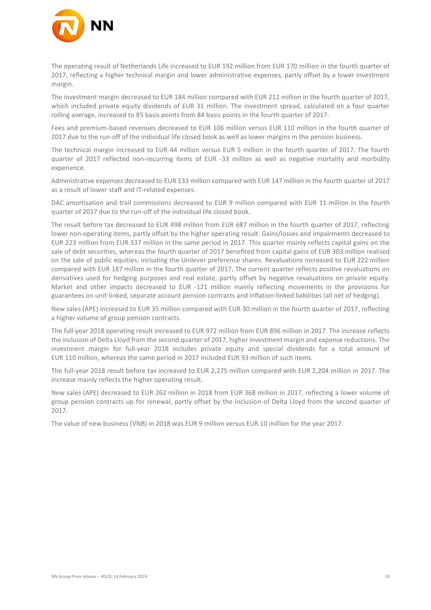

The operating result of Netherlands Life increased to EUR 192 million from EUR 170 million in the fourth quarter of 2017, reflecting a higher technical margin and lower administrative expenses, partly offset by a lower investment margin.

The investment margin decreased to EUR 184 million compared with EUR 212 million in the fourth quarter of 2017, which included private equity dividends of EUR 31 million. The investment spread, calculated on a four quarter rolling average, increased to 85 basis points from 84 basis points in the fourth quarter of 2017.

Fees and premium-based revenues decreased to EUR 106 million versus EUR 110 million in the fourth quarter of 2017 due to the run-off of the individual life closed book as well as lower margins in the pension business.

The technical margin increased to EUR 44 million versus EUR 5 million in the fourth quarter of 2017. The fourth quarter of 2017 reflected non-recurring items of EUR -33 million as well as negative mortality and morbidity experience.

Administrative expenses decreased to EUR 133 million compared with EUR 147 million in the fourth quarter of 2017 as a result of lower staff and IT-related expenses.

DAC amortisation and trail commissions decreased to EUR 9 million compared with EUR 11 million in the fourth quarter of 2017 due to the run-off of the individual life closed book.

The result before tax decreased to EUR 498 million from EUR 687 million in the fourth quarter of 2017, reflecting lower non-operating items, partly offset by the higher operating result. Gains/losses and impairments decreased to EUR 223 million from EUR 337 million in the same period in 2017. This quarter mainly reflects capital gains on the sale of debt securities, whereas the fourth quarter of 2017 benefited from capital gains of EUR 303 million realised on the sale of public equities, including the Unilever preference shares. Revaluations increased to EUR 222 million compared with EUR 187 million in the fourth quarter of 2017. The current quarter reflects positive revaluations on derivatives used for hedging purposes and real estate, partly offset by negative revaluations on private equity. Market and other impacts decreased to EUR -121 million mainly reflecting movements in the provisions for guarantees on unit-linked, separate account pension contracts and inflation-linked liabilities (all net of hedging).

New sales (APE) increased to EUR 35 million compared with EUR 30 million in the fourth quarter of 2017, reflecting a higher volume of group pension contracts.

The full-year 2018 operating result increased to EUR 972 million from EUR 896 million in 2017. The increase reflects the inclusion of Delta Lloyd from the second quarter of 2017, higher investment margin and expense reductions. The investment margin for full-year 2018 includes private equity and special dividends for a total amount of EUR 110 million, whereas the same period in 2017 included EUR 93 million of such items.

The full-year 2018 result before tax increased to EUR 2,275 million compared with EUR 2,204 million in 2017. The increase mainly reflects the higher operating result.

New sales (APE) decreased to EUR 262 million in 2018 from EUR 368 million in 2017, reflecting a lower volume of group pension contracts up for renewal, partly offset by the inclusion of Delta Lloyd from the second quarter of 2017.

The value of new business (VNB) in 2018 was EUR 9 million versus EUR 10 million for the year 2017.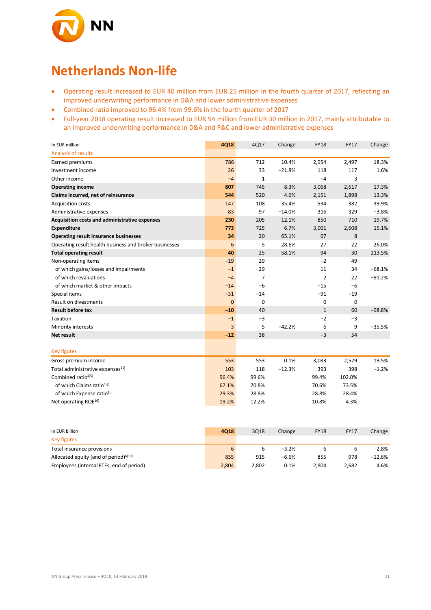

## **Netherlands Non-life**

- Operating result increased to EUR 40 million from EUR 25 million in the fourth quarter of 2017, reflecting an improved underwriting performance in D&A and lower administrative expenses
- Combined ratio improved to 96.4% from 99.6% in the fourth quarter of 2017
- Full-year 2018 operating result increased to EUR 94 million from EUR 30 million in 2017, mainly attributable to an improved underwriting performance in D&A and P&C and lower administrative expenses

| In EUR million                                         | 4Q18     | 4Q17           | Change   | <b>FY18</b>    | <b>FY17</b> | Change   |
|--------------------------------------------------------|----------|----------------|----------|----------------|-------------|----------|
| Analysis of results                                    |          |                |          |                |             |          |
| Earned premiums                                        | 786      | 712            | 10.4%    | 2,954          | 2,497       | 18.3%    |
| Investment income                                      | 26       | 33             | $-21.8%$ | 118            | 117         | 1.6%     |
| Other income                                           | $-4$     | $\mathbf{1}$   |          | $-4$           | 3           |          |
| <b>Operating income</b>                                | 807      | 745            | 8.3%     | 3,068          | 2,617       | 17.3%    |
| Claims incurred, net of reinsurance                    | 544      | 520            | 4.6%     | 2,151          | 1,898       | 13.3%    |
| <b>Acquisition costs</b>                               | 147      | 108            | 35.4%    | 534            | 382         | 39.9%    |
| Administrative expenses                                | 83       | 97             | $-14.0%$ | 316            | 329         | $-3.8%$  |
| Acquisition costs and administrative expenses          | 230      | 205            | 12.1%    | 850            | 710         | 19.7%    |
| <b>Expenditure</b>                                     | 773      | 725            | 6.7%     | 3,001          | 2,608       | 15.1%    |
| <b>Operating result insurance businesses</b>           | 34       | 20             | 65.1%    | 67             | 8           |          |
| Operating result health business and broker businesses | 6        | 5              | 28.6%    | 27             | 22          | 26.0%    |
| <b>Total operating result</b>                          | 40       | 25             | 58.1%    | 94             | 30          | 213.5%   |
| Non-operating items                                    | $-19$    | 29             |          | $-2$           | 49          |          |
| of which gains/losses and impairments                  | $-1$     | 29             |          | 11             | 34          | $-68.1%$ |
| of which revaluations                                  | $-4$     | $\overline{7}$ |          | $\overline{2}$ | 22          | $-91.2%$ |
| of which market & other impacts                        | $-14$    | $-6$           |          | $-15$          | $-6$        |          |
| Special items                                          | $-31$    | $-14$          |          | $-91$          | $-19$       |          |
| <b>Result on divestments</b>                           | $\Omega$ | $\Omega$       |          | $\mathbf 0$    | 0           |          |
| <b>Result before tax</b>                               | $-10$    | 40             |          | $\mathbf{1}$   | 60          | $-98.8%$ |
| Taxation                                               | $-1$     | $-3$           |          | $-2$           | $-3$        |          |
| Minority interests                                     | 3        | 5              | $-42.2%$ | 6              | 9           | $-35.5%$ |
| Net result                                             | $-12$    | 38             |          | $-3$           | 54          |          |
|                                                        |          |                |          |                |             |          |
| <b>Key figures</b>                                     |          |                |          |                |             |          |
| Gross premium income                                   | 553      | 553            | 0.1%     | 3,083          | 2,579       | 19.5%    |
| Total administrative expenses <sup>11)</sup>           | 103      | 118            | $-12.3%$ | 393            | 398         | $-1.2%$  |
| Combined ratio <sup>4)5)</sup>                         | 96.4%    | 99.6%          |          | 99.4%          | 102.0%      |          |
| of which Claims ratio <sup>4)5)</sup>                  | 67.1%    | 70.8%          |          | 70.6%          | 73.5%       |          |
| of which Expense ratio <sup>5)</sup>                   | 29.3%    | 28.8%          |          | 28.8%          | 28.4%       |          |
| Net operating ROE <sup>10)</sup>                       | 19.2%    | 12.2%          |          | 10.8%          | 4.3%        |          |

| In EUR billion                                    | 4Q18  | 3Q18  | Change  | <b>FY18</b> | <b>FY17</b> | Change |
|---------------------------------------------------|-------|-------|---------|-------------|-------------|--------|
| Key figures                                       |       |       |         |             |             |        |
| Total insurance provisions                        | 6     |       | $-3.2%$ |             |             | 2.8%   |
| Allocated equity (end of period) <sup>6)10)</sup> | 855   | 915   | $-6.6%$ | 855         | 978         | -12.6% |
| Employees (internal FTEs, end of period)          | 2,804 | 2.802 | 0.1%    | 2,804       | 2,682       | 4.6%   |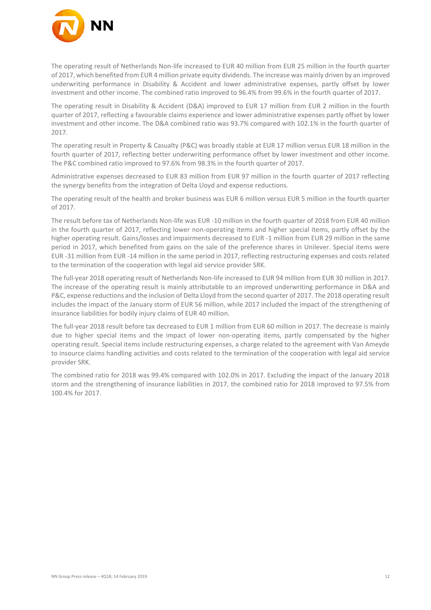

The operating result of Netherlands Non-life increased to EUR 40 million from EUR 25 million in the fourth quarter of 2017, which benefited from EUR 4 million private equity dividends. The increase was mainly driven by an improved underwriting performance in Disability & Accident and lower administrative expenses, partly offset by lower investment and other income. The combined ratio improved to 96.4% from 99.6% in the fourth quarter of 2017.

The operating result in Disability & Accident (D&A) improved to EUR 17 million from EUR 2 million in the fourth quarter of 2017, reflecting a favourable claims experience and lower administrative expenses partly offset by lower investment and other income. The D&A combined ratio was 93.7% compared with 102.1% in the fourth quarter of 2017.

The operating result in Property & Casualty (P&C) was broadly stable at EUR 17 million versus EUR 18 million in the fourth quarter of 2017, reflecting better underwriting performance offset by lower investment and other income. The P&C combined ratio improved to 97.6% from 98.3% in the fourth quarter of 2017.

Administrative expenses decreased to EUR 83 million from EUR 97 million in the fourth quarter of 2017 reflecting the synergy benefits from the integration of Delta Lloyd and expense reductions.

The operating result of the health and broker business was EUR 6 million versus EUR 5 million in the fourth quarter of 2017.

The result before tax of Netherlands Non-life was EUR -10 million in the fourth quarter of 2018 from EUR 40 million in the fourth quarter of 2017, reflecting lower non-operating items and higher special items, partly offset by the higher operating result. Gains/losses and impairments decreased to EUR -1 million from EUR 29 million in the same period in 2017, which benefited from gains on the sale of the preference shares in Unilever. Special items were EUR -31 million from EUR -14 million in the same period in 2017, reflecting restructuring expenses and costs related to the termination of the cooperation with legal aid service provider SRK.

The full-year 2018 operating result of Netherlands Non-life increased to EUR 94 million from EUR 30 million in 2017. The increase of the operating result is mainly attributable to an improved underwriting performance in D&A and P&C, expense reductions and the inclusion of Delta Lloyd from the second quarter of 2017. The 2018 operating result includes the impact of the January storm of EUR 56 million, while 2017 included the impact of the strengthening of insurance liabilities for bodily injury claims of EUR 40 million.

The full-year 2018 result before tax decreased to EUR 1 million from EUR 60 million in 2017. The decrease is mainly due to higher special items and the impact of lower non-operating items, partly compensated by the higher operating result. Special items include restructuring expenses, a charge related to the agreement with Van Ameyde to insource claims handling activities and costs related to the termination of the cooperation with legal aid service provider SRK.

The combined ratio for 2018 was 99.4% compared with 102.0% in 2017. Excluding the impact of the January 2018 storm and the strengthening of insurance liabilities in 2017, the combined ratio for 2018 improved to 97.5% from 100.4% for 2017.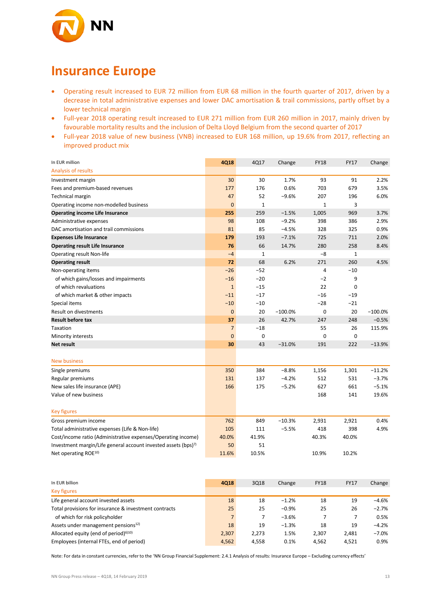

### **Insurance Europe**

- Operating result increased to EUR 72 million from EUR 68 million in the fourth quarter of 2017, driven by a decrease in total administrative expenses and lower DAC amortisation & trail commissions, partly offset by a lower technical margin
- Full-year 2018 operating result increased to EUR 271 million from EUR 260 million in 2017, mainly driven by favourable mortality results and the inclusion of Delta Lloyd Belgium from the second quarter of 2017
- Full-year 2018 value of new business (VNB) increased to EUR 168 million, up 19.6% from 2017, reflecting an improved product mix

| In EUR million                                                             | 4Q18           | 4Q17           | Change    | <b>FY18</b>  | <b>FY17</b>    | Change    |
|----------------------------------------------------------------------------|----------------|----------------|-----------|--------------|----------------|-----------|
| Analysis of results                                                        |                |                |           |              |                |           |
| Investment margin                                                          | 30             | 30             | 1.7%      | 93           | 91             | 2.2%      |
| Fees and premium-based revenues                                            | 177            | 176            | 0.6%      | 703          | 679            | 3.5%      |
| <b>Technical margin</b>                                                    | 47             | 52             | $-9.6%$   | 207          | 196            | 6.0%      |
| Operating income non-modelled business                                     | $\mathbf 0$    | $\mathbf{1}$   |           | $\mathbf{1}$ | 3              |           |
| <b>Operating income Life Insurance</b>                                     | 255            | 259            | $-1.5%$   | 1,005        | 969            | 3.7%      |
| Administrative expenses                                                    | 98             | 108            | $-9.2%$   | 398          | 386            | 2.9%      |
| DAC amortisation and trail commissions                                     | 81             | 85             | $-4.5%$   | 328          | 325            | 0.9%      |
| <b>Expenses Life Insurance</b>                                             | 179            | 193            | $-7.1%$   | 725          | 711            | 2.0%      |
| <b>Operating result Life Insurance</b>                                     | 76             | 66             | 14.7%     | 280          | 258            | 8.4%      |
| Operating result Non-life                                                  | $-4$           | $\mathbf{1}$   |           | $-8$         | $\mathbf 1$    |           |
| <b>Operating result</b>                                                    | 72             | 68             | 6.2%      | 271          | 260            | 4.5%      |
| Non-operating items                                                        | $-26$          | $-52$          |           | 4            | $-10$          |           |
| of which gains/losses and impairments                                      | $-16$          | $-20$          |           | $-2$         | 9              |           |
| of which revaluations                                                      | $\mathbf{1}$   | $-15$          |           | 22           | 0              |           |
| of which market & other impacts                                            | $-11$          | $-17$          |           | $-16$        | $-19$          |           |
| Special items                                                              | $-10$          | $-10$          |           | $-28$        | $-21$          |           |
| Result on divestments                                                      | $\mathbf 0$    | 20             | $-100.0%$ | 0            | 20             | $-100.0%$ |
| <b>Result before tax</b>                                                   | 37             | 26             | 42.7%     | 247          | 248            | $-0.5%$   |
| Taxation                                                                   | $\overline{7}$ | $-18$          |           | 55           | 26             | 115.9%    |
| Minority interests                                                         | $\mathbf 0$    | 0              |           | 0            | 0              |           |
| Net result                                                                 | 30             | 43             | $-31.0%$  | 191          | 222            | $-13.9%$  |
|                                                                            |                |                |           |              |                |           |
| <b>New business</b>                                                        |                |                |           |              |                |           |
| Single premiums                                                            | 350            | 384            | $-8.8%$   | 1,156        | 1,301          | $-11.2%$  |
| Regular premiums                                                           | 131            | 137            | $-4.2%$   | 512          | 531            | $-3.7%$   |
| New sales life insurance (APE)                                             | 166            | 175            | $-5.2%$   | 627          | 661            | $-5.1%$   |
| Value of new business                                                      |                |                |           | 168          | 141            | 19.6%     |
|                                                                            |                |                |           |              |                |           |
| <b>Key figures</b>                                                         |                |                |           |              |                |           |
| Gross premium income                                                       | 762            | 849            | $-10.3%$  | 2,931        | 2,921          | 0.4%      |
| Total administrative expenses (Life & Non-life)                            | 105            | 111            | $-5.5%$   | 418          | 398            | 4.9%      |
| Cost/income ratio (Administrative expenses/Operating income)               | 40.0%          | 41.9%          |           | 40.3%        | 40.0%          |           |
| Investment margin/Life general account invested assets (bps) <sup>7)</sup> | 50             | 51             |           |              |                |           |
| Net operating ROE <sup>10)</sup>                                           | 11.6%          | 10.5%          |           | 10.9%        | 10.2%          |           |
|                                                                            |                |                |           |              |                |           |
|                                                                            |                |                |           |              |                |           |
| In EUR billion                                                             | <b>4Q18</b>    | 3Q18           | Change    | <b>FY18</b>  | <b>FY17</b>    | Change    |
| <b>Key figures</b>                                                         |                |                |           |              |                |           |
| Life general account invested assets                                       | 18             | 18             | $-1.2%$   | 18           | 19             | $-4.6%$   |
| Total provisions for insurance & investment contracts                      | 25             | 25             | $-0.9%$   | 25           | 26             | $-2.7%$   |
| of which for risk policyholder                                             | $\overline{7}$ | $\overline{7}$ | $-3.6%$   | 7            | $\overline{7}$ | 0.5%      |
| Assets under management pensions <sup>12)</sup>                            | 18             | 19             | $-1.3%$   | 18           | 19             | $-4.2%$   |
| Allocated equity (end of period) <sup>6)10)</sup>                          | 2,307          | 2,273          | 1.5%      | 2,307        | 2,481          | $-7.0%$   |

Note: For data in constant currencies, refer to the 'NN Group Financial Supplement: 2.4.1 Analysis of results: Insurance Europe – Excluding currency effects'

Employees (internal FTEs, end of period) **1988** 1,558 4,558 4,562 4,562 4,521 0.9%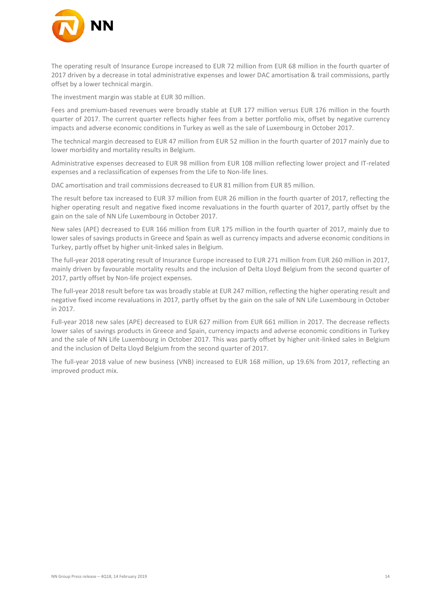

The operating result of Insurance Europe increased to EUR 72 million from EUR 68 million in the fourth quarter of 2017 driven by a decrease in total administrative expenses and lower DAC amortisation & trail commissions, partly offset by a lower technical margin.

The investment margin was stable at EUR 30 million.

Fees and premium-based revenues were broadly stable at EUR 177 million versus EUR 176 million in the fourth quarter of 2017. The current quarter reflects higher fees from a better portfolio mix, offset by negative currency impacts and adverse economic conditions in Turkey as well as the sale of Luxembourg in October 2017.

The technical margin decreased to EUR 47 million from EUR 52 million in the fourth quarter of 2017 mainly due to lower morbidity and mortality results in Belgium.

Administrative expenses decreased to EUR 98 million from EUR 108 million reflecting lower project and IT-related expenses and a reclassification of expenses from the Life to Non-life lines.

DAC amortisation and trail commissions decreased to EUR 81 million from EUR 85 million.

The result before tax increased to EUR 37 million from EUR 26 million in the fourth quarter of 2017, reflecting the higher operating result and negative fixed income revaluations in the fourth quarter of 2017, partly offset by the gain on the sale of NN Life Luxembourg in October 2017.

New sales (APE) decreased to EUR 166 million from EUR 175 million in the fourth quarter of 2017, mainly due to lower sales of savings products in Greece and Spain as well as currency impacts and adverse economic conditions in Turkey, partly offset by higher unit-linked sales in Belgium.

The full-year 2018 operating result of Insurance Europe increased to EUR 271 million from EUR 260 million in 2017, mainly driven by favourable mortality results and the inclusion of Delta Lloyd Belgium from the second quarter of 2017, partly offset by Non-life project expenses.

The full-year 2018 result before tax was broadly stable at EUR 247 million, reflecting the higher operating result and negative fixed income revaluations in 2017, partly offset by the gain on the sale of NN Life Luxembourg in October in 2017.

Full-year 2018 new sales (APE) decreased to EUR 627 million from EUR 661 million in 2017. The decrease reflects lower sales of savings products in Greece and Spain, currency impacts and adverse economic conditions in Turkey and the sale of NN Life Luxembourg in October 2017. This was partly offset by higher unit-linked sales in Belgium and the inclusion of Delta Lloyd Belgium from the second quarter of 2017.

The full-year 2018 value of new business (VNB) increased to EUR 168 million, up 19.6% from 2017, reflecting an improved product mix.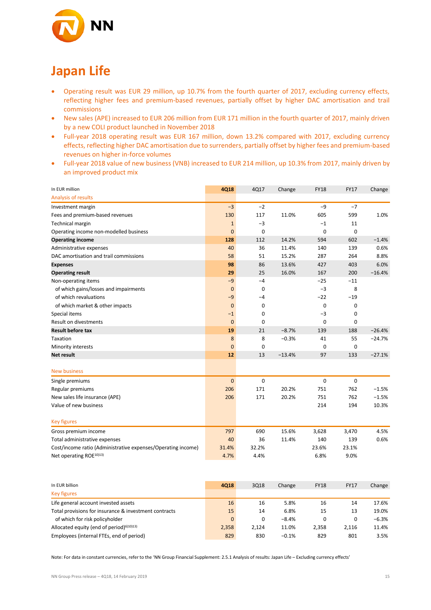

## **Japan Life**

- Operating result was EUR 29 million, up 10.7% from the fourth quarter of 2017, excluding currency effects, reflecting higher fees and premium-based revenues, partially offset by higher DAC amortisation and trail commissions
- New sales (APE) increased to EUR 206 million from EUR 171 million in the fourth quarter of 2017, mainly driven by a new COLI product launched in November 2018
- Full-year 2018 operating result was EUR 167 million, down 13.2% compared with 2017, excluding currency effects, reflecting higher DAC amortisation due to surrenders, partially offset by higher fees and premium-based revenues on higher in-force volumes
- Full-year 2018 value of new business (VNB) increased to EUR 214 million, up 10.3% from 2017, mainly driven by an improved product mix

| In EUR million                                               | 4Q18           | 4Q17        | Change   | <b>FY18</b> | <b>FY17</b> | Change   |
|--------------------------------------------------------------|----------------|-------------|----------|-------------|-------------|----------|
| Analysis of results                                          |                |             |          |             |             |          |
| Investment margin                                            | $-3$           | $-2$        |          | $-9$        | $-7$        |          |
| Fees and premium-based revenues                              | 130            | 117         | 11.0%    | 605         | 599         | 1.0%     |
| Technical margin                                             | $\mathbf{1}$   | $-3$        |          | $-1$        | 11          |          |
| Operating income non-modelled business                       | $\mathbf{0}$   | 0           |          | 0           | 0           |          |
| <b>Operating income</b>                                      | 128            | 112         | 14.2%    | 594         | 602         | $-1.4%$  |
| Administrative expenses                                      | 40             | 36          | 11.4%    | 140         | 139         | 0.6%     |
| DAC amortisation and trail commissions                       | 58             | 51          | 15.2%    | 287         | 264         | 8.8%     |
| <b>Expenses</b>                                              | 98             | 86          | 13.6%    | 427         | 403         | 6.0%     |
| <b>Operating result</b>                                      | 29             | 25          | 16.0%    | 167         | 200         | $-16.4%$ |
| Non-operating items                                          | $-9$           | $-4$        |          | $-25$       | $-11$       |          |
| of which gains/losses and impairments                        | $\mathbf 0$    | 0           |          | $-3$        | 8           |          |
| of which revaluations                                        | $-9$           | $-4$        |          | $-22$       | $-19$       |          |
| of which market & other impacts                              | $\mathbf{0}$   | 0           |          | 0           | 0           |          |
| Special items                                                | $-1$           | $\mathbf 0$ |          | $-3$        | 0           |          |
| <b>Result on divestments</b>                                 | $\overline{0}$ | $\Omega$    |          | $\mathbf 0$ | 0           |          |
| <b>Result before tax</b>                                     | 19             | 21          | $-8.7%$  | 139         | 188         | $-26.4%$ |
| Taxation                                                     | 8              | 8           | $-0.3%$  | 41          | 55          | $-24.7%$ |
| Minority interests                                           | $\overline{0}$ | 0           |          | 0           | 0           |          |
| <b>Net result</b>                                            | 12             | 13          | $-13.4%$ | 97          | 133         | $-27.1%$ |
| <b>New business</b>                                          |                |             |          |             |             |          |
| Single premiums                                              | $\mathbf{0}$   | $\mathbf 0$ |          | $\mathbf 0$ | 0           |          |
| Regular premiums                                             | 206            | 171         | 20.2%    | 751         | 762         | $-1.5%$  |
| New sales life insurance (APE)                               | 206            | 171         | 20.2%    | 751         | 762         | $-1.5%$  |
| Value of new business                                        |                |             |          | 214         | 194         | 10.3%    |
| <b>Key figures</b>                                           |                |             |          |             |             |          |
| Gross premium income                                         | 797            | 690         | 15.6%    | 3,628       | 3,470       | 4.5%     |
| Total administrative expenses                                | 40             | 36          | 11.4%    | 140         | 139         | 0.6%     |
| Cost/income ratio (Administrative expenses/Operating income) | 31.4%          | 32.2%       |          | 23.6%       | 23.1%       |          |
| Net operating ROE <sup>10)13)</sup>                          | 4.7%           | 4.4%        |          | 6.8%        | 9.0%        |          |

| In EUR billion                                        | 4018  | 3Q18  | Change  | <b>FY18</b> | <b>FY17</b> | Change  |
|-------------------------------------------------------|-------|-------|---------|-------------|-------------|---------|
| <b>Key figures</b>                                    |       |       |         |             |             |         |
| Life general account invested assets                  | 16    | 16    | 5.8%    | 16          | 14          | 17.6%   |
| Total provisions for insurance & investment contracts | 15    | 14    | 6.8%    | 15          | 13          | 19.0%   |
| of which for risk policyholder                        | 0     | 0     | $-8.4%$ | 0           | 0           | $-6.3%$ |
| Allocated equity (end of period) $610(13)$            | 2.358 | 2.124 | 11.0%   | 2.358       | 2.116       | 11.4%   |
| Employees (internal FTEs, end of period)              | 829   | 830   | $-0.1%$ | 829         | 801         | 3.5%    |

Note: For data in constant currencies, refer to the 'NN Group Financial Supplement: 2.5.1 Analysis of results: Japan Life – Excluding currency effects'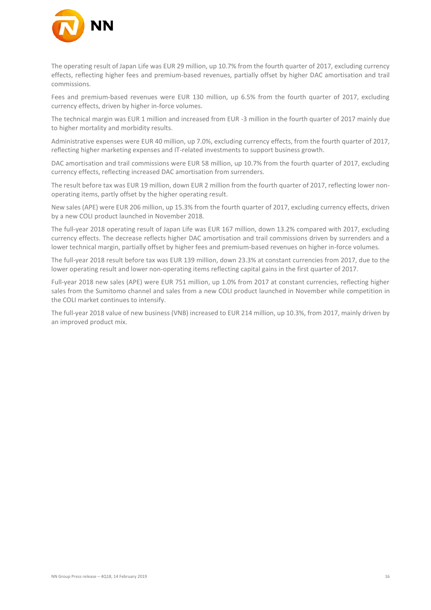

The operating result of Japan Life was EUR 29 million, up 10.7% from the fourth quarter of 2017, excluding currency effects, reflecting higher fees and premium-based revenues, partially offset by higher DAC amortisation and trail commissions.

Fees and premium-based revenues were EUR 130 million, up 6.5% from the fourth quarter of 2017, excluding currency effects, driven by higher in-force volumes.

The technical margin was EUR 1 million and increased from EUR -3 million in the fourth quarter of 2017 mainly due to higher mortality and morbidity results.

Administrative expenses were EUR 40 million, up 7.0%, excluding currency effects, from the fourth quarter of 2017, reflecting higher marketing expenses and IT-related investments to support business growth.

DAC amortisation and trail commissions were EUR 58 million, up 10.7% from the fourth quarter of 2017, excluding currency effects, reflecting increased DAC amortisation from surrenders.

The result before tax was EUR 19 million, down EUR 2 million from the fourth quarter of 2017, reflecting lower nonoperating items, partly offset by the higher operating result.

New sales (APE) were EUR 206 million, up 15.3% from the fourth quarter of 2017, excluding currency effects, driven by a new COLI product launched in November 2018.

The full-year 2018 operating result of Japan Life was EUR 167 million, down 13.2% compared with 2017, excluding currency effects. The decrease reflects higher DAC amortisation and trail commissions driven by surrenders and a lower technical margin, partially offset by higher fees and premium-based revenues on higher in-force volumes.

The full-year 2018 result before tax was EUR 139 million, down 23.3% at constant currencies from 2017, due to the lower operating result and lower non-operating items reflecting capital gains in the first quarter of 2017.

Full-year 2018 new sales (APE) were EUR 751 million, up 1.0% from 2017 at constant currencies, reflecting higher sales from the Sumitomo channel and sales from a new COLI product launched in November while competition in the COLI market continues to intensify.

The full-year 2018 value of new business (VNB) increased to EUR 214 million, up 10.3%, from 2017, mainly driven by an improved product mix.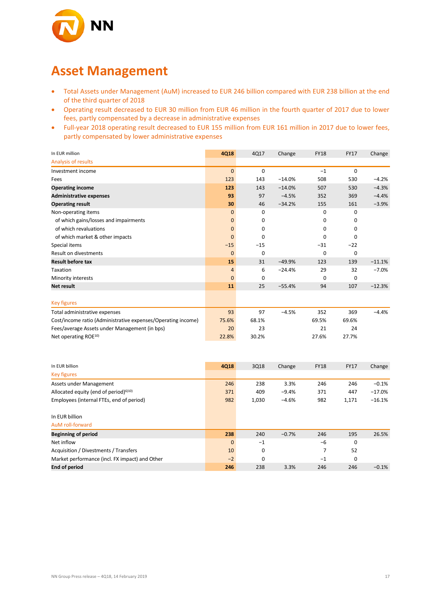

### **Asset Management**

- Total Assets under Management (AuM) increased to EUR 246 billion compared with EUR 238 billion at the end of the third quarter of 2018
- Operating result decreased to EUR 30 million from EUR 46 million in the fourth quarter of 2017 due to lower fees, partly compensated by a decrease in administrative expenses
- Full-year 2018 operating result decreased to EUR 155 million from EUR 161 million in 2017 due to lower fees, partly compensated by lower administrative expenses

| In EUR million                                               | 4Q18           | 4Q17        | Change   | <b>FY18</b> | <b>FY17</b> | Change   |
|--------------------------------------------------------------|----------------|-------------|----------|-------------|-------------|----------|
| Analysis of results                                          |                |             |          |             |             |          |
| Investment income                                            | $\mathbf{0}$   | $\mathbf 0$ |          | $-1$        | $\mathbf 0$ |          |
| Fees                                                         | 123            | 143         | $-14.0%$ | 508         | 530         | $-4.2%$  |
| <b>Operating income</b>                                      | 123            | 143         | $-14.0%$ | 507         | 530         | $-4.3%$  |
| <b>Administrative expenses</b>                               | 93             | 97          | $-4.5%$  | 352         | 369         | $-4.4%$  |
| <b>Operating result</b>                                      | 30             | 46          | $-34.2%$ | 155         | 161         | $-3.9%$  |
| Non-operating items                                          | $\mathbf{0}$   | 0           |          | 0           | 0           |          |
| of which gains/losses and impairments                        | 0              | $\Omega$    |          | 0           | 0           |          |
| of which revaluations                                        | $\mathbf{0}$   | 0           |          | $\mathbf 0$ | 0           |          |
| of which market & other impacts                              | $\mathbf{0}$   | $\Omega$    |          | $\mathbf 0$ | 0           |          |
| Special items                                                | $-15$          | $-15$       |          | $-31$       | $-22$       |          |
| Result on divestments                                        | $\mathbf{0}$   | 0           |          | $\mathbf 0$ | 0           |          |
| <b>Result before tax</b>                                     | 15             | 31          | $-49.9%$ | 123         | 139         | $-11.1%$ |
| Taxation                                                     | $\overline{4}$ | 6           | $-24.4%$ | 29          | 32          | $-7.0%$  |
| Minority interests                                           | $\mathbf{0}$   | 0           |          | 0           | 0           |          |
| Net result                                                   | 11             | 25          | $-55.4%$ | 94          | 107         | $-12.3%$ |
|                                                              |                |             |          |             |             |          |
| <b>Key figures</b>                                           |                |             |          |             |             |          |
| Total administrative expenses                                | 93             | 97          | $-4.5%$  | 352         | 369         | $-4.4%$  |
| Cost/income ratio (Administrative expenses/Operating income) | 75.6%          | 68.1%       |          | 69.5%       | 69.6%       |          |
| Fees/average Assets under Management (in bps)                | 20             | 23          |          | 21          | 24          |          |
| Net operating ROE <sup>10)</sup>                             | 22.8%          | 30.2%       |          | 27.6%       | 27.7%       |          |
|                                                              |                |             |          |             |             |          |
|                                                              |                |             |          |             |             |          |
|                                                              |                |             |          |             |             |          |

| In EUR billion                                    | <b>4Q18</b>  | 3Q18        | Change  | <b>FY18</b> | <b>FY17</b> | Change   |
|---------------------------------------------------|--------------|-------------|---------|-------------|-------------|----------|
| <b>Key figures</b>                                |              |             |         |             |             |          |
| Assets under Management                           | 246          | 238         | 3.3%    | 246         | 246         | $-0.1%$  |
| Allocated equity (end of period) <sup>6)10)</sup> | 371          | 409         | $-9.4%$ | 371         | 447         | $-17.0%$ |
| Employees (internal FTEs, end of period)          | 982          | 1,030       | $-4.6%$ | 982         | 1,171       | $-16.1%$ |
| In EUR billion                                    |              |             |         |             |             |          |
| AuM roll-forward                                  |              |             |         |             |             |          |
| <b>Beginning of period</b>                        | 238          | 240         | $-0.7%$ | 246         | 195         | 26.5%    |
| Net inflow                                        | $\mathbf{0}$ | $-1$        |         | $-6$        | 0           |          |
| Acquisition / Divestments / Transfers             | 10           | 0           |         | 7           | 52          |          |
| Market performance (incl. FX impact) and Other    | $-2$         | $\mathbf 0$ |         | $-1$        | 0           |          |
| <b>End of period</b>                              | 246          | 238         | 3.3%    | 246         | 246         | $-0.1\%$ |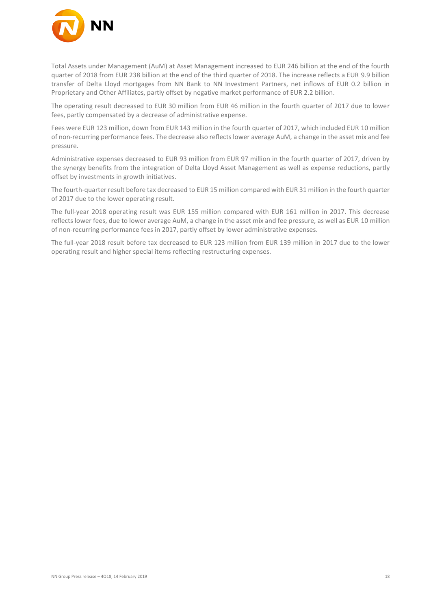

Total Assets under Management (AuM) at Asset Management increased to EUR 246 billion at the end of the fourth quarter of 2018 from EUR 238 billion at the end of the third quarter of 2018. The increase reflects a EUR 9.9 billion transfer of Delta Lloyd mortgages from NN Bank to NN Investment Partners, net inflows of EUR 0.2 billion in Proprietary and Other Affiliates, partly offset by negative market performance of EUR 2.2 billion.

The operating result decreased to EUR 30 million from EUR 46 million in the fourth quarter of 2017 due to lower fees, partly compensated by a decrease of administrative expense.

Fees were EUR 123 million, down from EUR 143 million in the fourth quarter of 2017, which included EUR 10 million of non-recurring performance fees. The decrease also reflects lower average AuM, a change in the asset mix and fee pressure.

Administrative expenses decreased to EUR 93 million from EUR 97 million in the fourth quarter of 2017, driven by the synergy benefits from the integration of Delta Lloyd Asset Management as well as expense reductions, partly offset by investments in growth initiatives.

The fourth-quarter result before tax decreased to EUR 15 million compared with EUR 31 million in the fourth quarter of 2017 due to the lower operating result.

The full-year 2018 operating result was EUR 155 million compared with EUR 161 million in 2017. This decrease reflects lower fees, due to lower average AuM, a change in the asset mix and fee pressure, as well as EUR 10 million of non-recurring performance fees in 2017, partly offset by lower administrative expenses.

The full-year 2018 result before tax decreased to EUR 123 million from EUR 139 million in 2017 due to the lower operating result and higher special items reflecting restructuring expenses.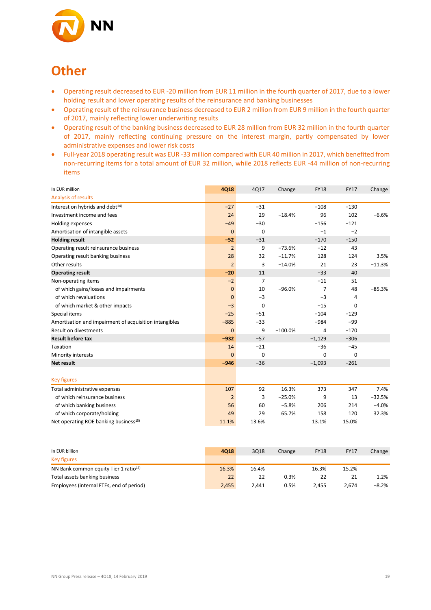

### **Other**

- Operating result decreased to EUR -20 million from EUR 11 million in the fourth quarter of 2017, due to a lower holding result and lower operating results of the reinsurance and banking businesses
- Operating result of the reinsurance business decreased to EUR 2 million from EUR 9 million in the fourth quarter of 2017, mainly reflecting lower underwriting results
- Operating result of the banking business decreased to EUR 28 million from EUR 32 million in the fourth quarter of 2017, mainly reflecting continuing pressure on the interest margin, partly compensated by lower administrative expenses and lower risk costs
- Full-year 2018 operating result was EUR -33 million compared with EUR 40 million in 2017, which benefited from non-recurring items for a total amount of EUR 32 million, while 2018 reflects EUR -44 million of non-recurring items

| In EUR million                                         | 4Q18           | 4Q17        | Change    | <b>FY18</b>    | <b>FY17</b> | Change   |
|--------------------------------------------------------|----------------|-------------|-----------|----------------|-------------|----------|
| Analysis of results                                    |                |             |           |                |             |          |
| Interest on hybrids and debt <sup>14)</sup>            | $-27$          | $-31$       |           | $-108$         | $-130$      |          |
| Investment income and fees                             | 24             | 29          | $-18.4%$  | 96             | 102         | $-6.6%$  |
| Holding expenses                                       | $-49$          | $-30$       |           | $-156$         | $-121$      |          |
| Amortisation of intangible assets                      | $\mathbf{0}$   | $\mathbf 0$ |           | $-1$           | $-2$        |          |
| <b>Holding result</b>                                  | $-52$          | $-31$       |           | $-170$         | $-150$      |          |
| Operating result reinsurance business                  | $\overline{2}$ | 9           | $-73.6%$  | $-12$          | 43          |          |
| Operating result banking business                      | 28             | 32          | $-11.7%$  | 128            | 124         | 3.5%     |
| Other results                                          | $\overline{2}$ | 3           | $-14.0%$  | 21             | 23          | $-11.3%$ |
| <b>Operating result</b>                                | $-20$          | 11          |           | $-33$          | 40          |          |
| Non-operating items                                    | $-2$           | 7           |           | $-11$          | 51          |          |
| of which gains/losses and impairments                  | $\mathbf{0}$   | 10          | $-96.0%$  | 7              | 48          | $-85.3%$ |
| of which revaluations                                  | $\mathbf{0}$   | $-3$        |           | $-3$           | 4           |          |
| of which market & other impacts                        | $-3$           | $\Omega$    |           | $-15$          | 0           |          |
| Special items                                          | $-25$          | $-51$       |           | $-104$         | $-129$      |          |
| Amortisation and impairment of acquisition intangibles | $-885$         | $-33$       |           | $-984$         | $-99$       |          |
| Result on divestments                                  | $\mathbf{0}$   | 9           | $-100.0%$ | $\overline{a}$ | $-170$      |          |
| <b>Result before tax</b>                               | $-932$         | $-57$       |           | $-1,129$       | $-306$      |          |
| Taxation                                               | 14             | $-21$       |           | $-36$          | $-45$       |          |
| Minority interests                                     | $\mathbf{0}$   | 0           |           | $\mathbf 0$    | 0           |          |
| Net result                                             | $-946$         | $-36$       |           | $-1,093$       | $-261$      |          |
|                                                        |                |             |           |                |             |          |
| <b>Key figures</b>                                     |                |             |           |                |             |          |
| Total administrative expenses                          | 107            | 92          | 16.3%     | 373            | 347         | 7.4%     |
| of which reinsurance business                          | $\overline{2}$ | 3           | $-25.0%$  | 9              | 13          | $-32.5%$ |
| of which banking business                              | 56             | 60          | $-5.8%$   | 206            | 214         | $-4.0%$  |
| of which corporate/holding                             | 49             | 29          | 65.7%     | 158            | 120         | 32.3%    |
| Net operating ROE banking business <sup>15)</sup>      | 11.1%          | 13.6%       |           | 13.1%          | 15.0%       |          |

| In EUR billion                                    | 4018  | 3018  | Change | <b>FY18</b> | <b>FY17</b> | Change |
|---------------------------------------------------|-------|-------|--------|-------------|-------------|--------|
| Key figures                                       |       |       |        |             |             |        |
| NN Bank common equity Tier 1 ratio <sup>16)</sup> | 16.3% | 16.4% |        | 16.3%       | 15.2%       |        |
| Total assets banking business                     | 22    | 22    | 0.3%   | 22          |             | 1.2%   |
| Employees (internal FTEs, end of period)          | 2,455 | 2.441 | 0.5%   | 2.455       | 2.674       | -8.2%  |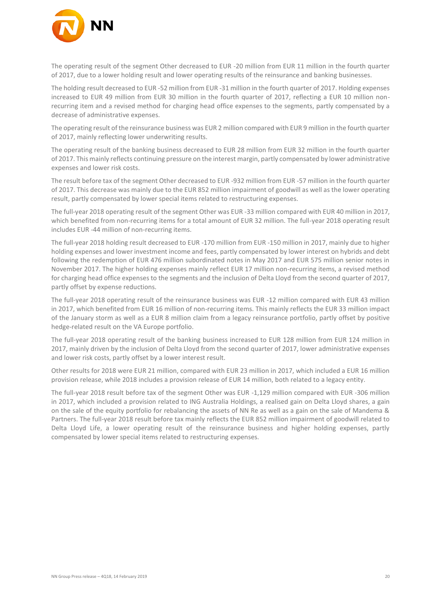

The operating result of the segment Other decreased to EUR -20 million from EUR 11 million in the fourth quarter of 2017, due to a lower holding result and lower operating results of the reinsurance and banking businesses.

The holding result decreased to EUR -52 million from EUR -31 million in the fourth quarter of 2017. Holding expenses increased to EUR 49 million from EUR 30 million in the fourth quarter of 2017, reflecting a EUR 10 million nonrecurring item and a revised method for charging head office expenses to the segments, partly compensated by a decrease of administrative expenses.

The operating result of the reinsurance business was EUR 2 million compared with EUR 9 million in the fourth quarter of 2017, mainly reflecting lower underwriting results.

The operating result of the banking business decreased to EUR 28 million from EUR 32 million in the fourth quarter of 2017. This mainly reflects continuing pressure on the interest margin, partly compensated by lower administrative expenses and lower risk costs.

The result before tax of the segment Other decreased to EUR -932 million from EUR -57 million in the fourth quarter of 2017. This decrease was mainly due to the EUR 852 million impairment of goodwill as well as the lower operating result, partly compensated by lower special items related to restructuring expenses.

The full-year 2018 operating result of the segment Other was EUR -33 million compared with EUR 40 million in 2017, which benefited from non-recurring items for a total amount of EUR 32 million. The full-year 2018 operating result includes EUR -44 million of non-recurring items.

The full-year 2018 holding result decreased to EUR -170 million from EUR -150 million in 2017, mainly due to higher holding expenses and lower investment income and fees, partly compensated by lower interest on hybrids and debt following the redemption of EUR 476 million subordinated notes in May 2017 and EUR 575 million senior notes in November 2017. The higher holding expenses mainly reflect EUR 17 million non-recurring items, a revised method for charging head office expenses to the segments and the inclusion of Delta Lloyd from the second quarter of 2017, partly offset by expense reductions.

The full-year 2018 operating result of the reinsurance business was EUR -12 million compared with EUR 43 million in 2017, which benefited from EUR 16 million of non-recurring items. This mainly reflects the EUR 33 million impact of the January storm as well as a EUR 8 million claim from a legacy reinsurance portfolio, partly offset by positive hedge-related result on the VA Europe portfolio.

The full-year 2018 operating result of the banking business increased to EUR 128 million from EUR 124 million in 2017, mainly driven by the inclusion of Delta Lloyd from the second quarter of 2017, lower administrative expenses and lower risk costs, partly offset by a lower interest result.

Other results for 2018 were EUR 21 million, compared with EUR 23 million in 2017, which included a EUR 16 million provision release, while 2018 includes a provision release of EUR 14 million, both related to a legacy entity.

The full-year 2018 result before tax of the segment Other was EUR -1,129 million compared with EUR -306 million in 2017, which included a provision related to ING Australia Holdings, a realised gain on Delta Lloyd shares, a gain on the sale of the equity portfolio for rebalancing the assets of NN Re as well as a gain on the sale of Mandema & Partners. The full-year 2018 result before tax mainly reflects the EUR 852 million impairment of goodwill related to Delta Lloyd Life, a lower operating result of the reinsurance business and higher holding expenses, partly compensated by lower special items related to restructuring expenses.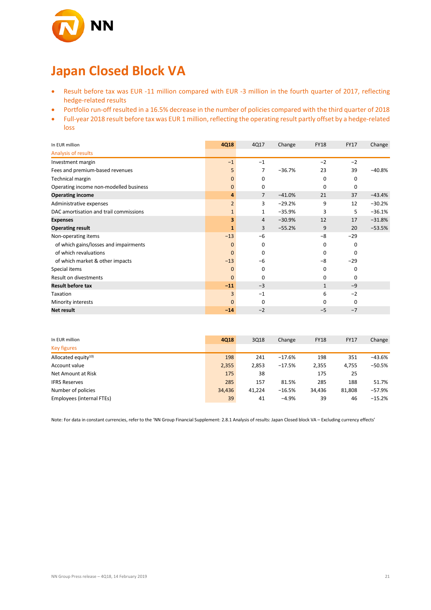

# **Japan Closed Block VA**

- Result before tax was EUR -11 million compared with EUR -3 million in the fourth quarter of 2017, reflecting hedge-related results
- Portfolio run-off resulted in a 16.5% decrease in the number of policies compared with the third quarter of 2018
- Full-year 2018 result before tax was EUR 1 million, reflecting the operating result partly offset by a hedge-related loss

| In EUR million                         | 4Q18           | 4Q17           | Change   | <b>FY18</b>  | <b>FY17</b> | Change   |
|----------------------------------------|----------------|----------------|----------|--------------|-------------|----------|
| Analysis of results                    |                |                |          |              |             |          |
| Investment margin                      | $-1$           | $-1$           |          | $-2$         | $-2$        |          |
| Fees and premium-based revenues        | 5              | 7              | $-36.7%$ | 23           | 39          | $-40.8%$ |
| Technical margin                       | 0              | 0              |          | 0            | 0           |          |
| Operating income non-modelled business | 0              | 0              |          | 0            | 0           |          |
| <b>Operating income</b>                | 4              | $\overline{7}$ | $-41.0%$ | 21           | 37          | $-43.4%$ |
| Administrative expenses                | $\overline{2}$ | 3              | $-29.2%$ | 9            | 12          | $-30.2%$ |
| DAC amortisation and trail commissions | $\mathbf{1}$   | 1              | $-35.9%$ | 3            | 5           | $-36.1%$ |
| <b>Expenses</b>                        | 3              | 4              | $-30.9%$ | 12           | 17          | $-31.8%$ |
| <b>Operating result</b>                | 1              | 3              | $-55.2%$ | 9            | 20          | $-53.5%$ |
| Non-operating items                    | $-13$          | $-6$           |          | $-8$         | $-29$       |          |
| of which gains/losses and impairments  | $\Omega$       | $\Omega$       |          | 0            | 0           |          |
| of which revaluations                  | $\mathbf{0}$   | 0              |          | 0            | 0           |          |
| of which market & other impacts        | $-13$          | -6             |          | $-8$         | $-29$       |          |
| Special items                          | 0              | 0              |          | 0            | 0           |          |
| Result on divestments                  | $\mathbf{0}$   | $\Omega$       |          | 0            | 0           |          |
| <b>Result before tax</b>               | $-11$          | $-3$           |          | $\mathbf{1}$ | $-9$        |          |
| Taxation                               | 3              | $-1$           |          | 6            | $-2$        |          |
| Minority interests                     | $\mathbf{0}$   | 0              |          | 0            | 0           |          |
| Net result                             | $-14$          | $-2$           |          | $-5$         | $-7$        |          |

| In EUR million            | 4Q18   | 3Q18   | Change   | <b>FY18</b> | <b>FY17</b> | Change   |
|---------------------------|--------|--------|----------|-------------|-------------|----------|
| <b>Key figures</b>        |        |        |          |             |             |          |
| Allocated equity $10$     | 198    | 241    | $-17.6%$ | 198         | 351         | $-43.6%$ |
| Account value             | 2,355  | 2,853  | $-17.5%$ | 2,355       | 4,755       | $-50.5%$ |
| Net Amount at Risk        | 175    | 38     |          | 175         | 25          |          |
| <b>IFRS Reserves</b>      | 285    | 157    | 81.5%    | 285         | 188         | 51.7%    |
| Number of policies        | 34.436 | 41,224 | $-16.5%$ | 34,436      | 81,808      | $-57.9%$ |
| Employees (internal FTEs) | 39     | 41     | $-4.9%$  | 39          | 46          | $-15.2%$ |

Note: For data in constant currencies, refer to the 'NN Group Financial Supplement: 2.8.1 Analysis of results: Japan Closed block VA – Excluding currency effects'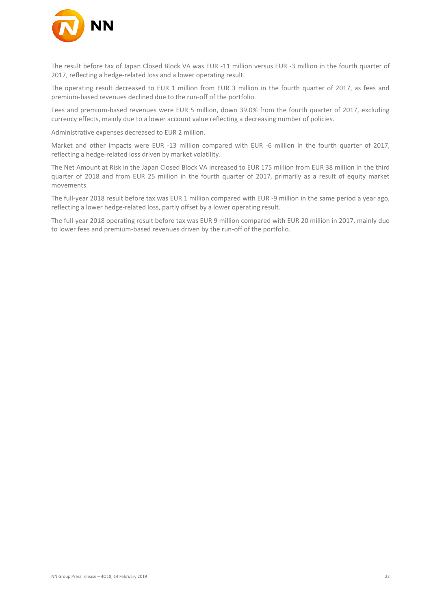

The result before tax of Japan Closed Block VA was EUR -11 million versus EUR -3 million in the fourth quarter of 2017, reflecting a hedge-related loss and a lower operating result.

The operating result decreased to EUR 1 million from EUR 3 million in the fourth quarter of 2017, as fees and premium-based revenues declined due to the run-off of the portfolio.

Fees and premium-based revenues were EUR 5 million, down 39.0% from the fourth quarter of 2017, excluding currency effects, mainly due to a lower account value reflecting a decreasing number of policies.

Administrative expenses decreased to EUR 2 million.

Market and other impacts were EUR -13 million compared with EUR -6 million in the fourth quarter of 2017, reflecting a hedge-related loss driven by market volatility.

The Net Amount at Risk in the Japan Closed Block VA increased to EUR 175 million from EUR 38 million in the third quarter of 2018 and from EUR 25 million in the fourth quarter of 2017, primarily as a result of equity market movements.

The full-year 2018 result before tax was EUR 1 million compared with EUR -9 million in the same period a year ago, reflecting a lower hedge-related loss, partly offset by a lower operating result.

The full-year 2018 operating result before tax was EUR 9 million compared with EUR 20 million in 2017, mainly due to lower fees and premium-based revenues driven by the run-off of the portfolio.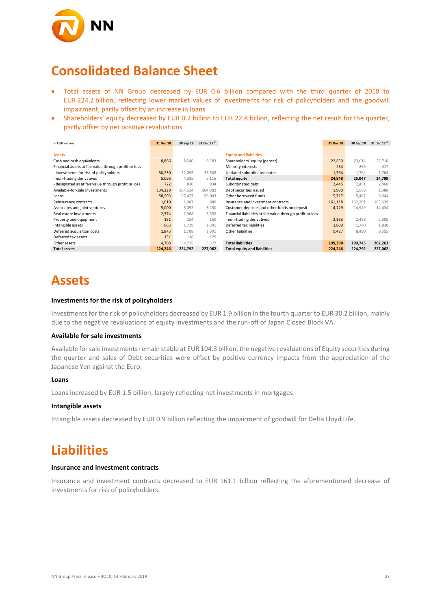

### **Consolidated Balance Sheet**

- Total assets of NN Group decreased by EUR 0.6 billion compared with the third quarter of 2018 to EUR 224.2 billion, reflecting lower market values of investments for risk of policyholders and the goodwill impairment, partly offset by an increase in loans
- Shareholders' equity decreased by EUR 0.2 billion to EUR 22.8 billion, reflecting the net result for the quarter, partly offset by net positive revaluations

| in EUR million                                        | 31 Dec 18 | 30 Sep 18 | 31 Dec 1717) |                                                            | 31 Dec 18 | 30 Sep 18 | 31 Dec 17 <sup>17)</sup> |
|-------------------------------------------------------|-----------|-----------|--------------|------------------------------------------------------------|-----------|-----------|--------------------------|
|                                                       |           |           |              |                                                            |           |           |                          |
| <b>Assets</b>                                         |           |           |              | <b>Equity and liabilities</b>                              |           |           |                          |
| Cash and cash equivalents                             | 8,886     | 8,540     | 9,383        | Shareholders' equity (parent)                              | 22,850    | 23,014    | 22,718                   |
| Financial assets at fair value through profit or loss |           |           |              | Minority interests                                         | 234       | 269       | 317                      |
| - investments for risk of policyholders               | 30,230    | 32,095    | 33,508       | Undated subordinated notes                                 | 1,764     | 1,764     | 1,764                    |
| - non-trading derivatives                             | 5,096     | 4,385     | 5,116        | <b>Total equity</b>                                        | 24,848    | 25,047    | 24,799                   |
| - designated as at fair value through profit or loss  | 722       | 830       | 934          | Subordinated debt                                          | 2,445     | 2,451     | 2,468                    |
| Available-for-sale investments                        | 104,329   | 104,524   | 104,982      | Debt securities issued                                     | 1,990     | 1,989     | 1,988                    |
| Loans                                                 | 58,903    | 57,427    | 56,043       | Other borrowed funds                                       | 5,717     | 5,467     | 6,044                    |
| Reinsurance contracts                                 | 1,010     | 1,007     | 880          | Insurance and investment contracts                         | 161,118   | 162,201   | 163,639                  |
| Associates and joint ventures                         | 5,000     | 5,092     | 3,450        | Customer deposits and other funds on deposit               | 14,729    | 14,949    | 14,434                   |
| Real estate investments                               | 2,374     | 2,368     | 3,582        | Financial liabilities at fair value through profit or loss |           |           |                          |
| Property and equipment                                | 151       | 154       | 150          | - non-trading derivatives                                  | 2,163     | 2,458     | 2,305                    |
| Intangible assets                                     | 863       | 1,739     | 1,841        | Deferred tax liabilities                                   | 1,809     | 1,740     | 1,830                    |
| Deferred acquisition costs                            | 1,843     | 1,788     | 1,691        | Other liabilities                                          | 9,427     | 8,490     | 9,555                    |
| Deferred tax assets                                   | 131       | 118       | 125          |                                                            |           |           |                          |
| Other assets                                          | 4,708     | 4,725     | 5,377        | <b>Total liabilities</b>                                   | 199,398   | 199,745   | 202,263                  |
| <b>Total assets</b>                                   | 224,246   | 224,792   | 227,062      | <b>Total equity and liabilities</b>                        | 224,246   | 224,792   | 227,062                  |

# **Assets**

#### **Investments for the risk of policyholders**

Investments for the risk of policyholders decreased by EUR 1.9 billion in the fourth quarter to EUR 30.2 billion, mainly due to the negative revaluations of equity investments and the run-off of Japan Closed Block VA.

#### **Available for sale investments**

Available for sale investments remain stable at EUR 104.3 billion, the negative revaluations of Equity securities during the quarter and sales of Debt securities were offset by positive currency impacts from the appreciation of the Japanese Yen against the Euro.

#### **Loans**

Loans increased by EUR 1.5 billion, largely reflecting net investments in mortgages.

#### **Intangible assets**

Intangible assets decreased by EUR 0.9 billion reflecting the impairment of goodwill for Delta Lloyd Life.

### **Liabilities**

#### **Insurance and investment contracts**

Insurance and investment contracts decreased to EUR 161.1 billion reflecting the aforementioned decrease of investments for risk of policyholders.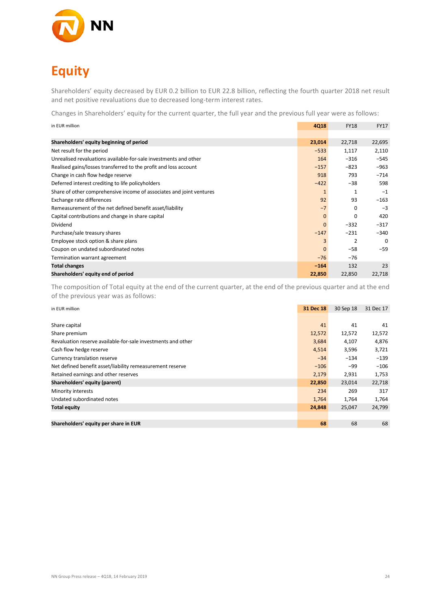

# **Equity**

Shareholders' equity decreased by EUR 0.2 billion to EUR 22.8 billion, reflecting the fourth quarter 2018 net result and net positive revaluations due to decreased long-term interest rates.

Changes in Shareholders' equity for the current quarter, the full year and the previous full year were as follows:

| in EUR million                                                       | <b>4Q18</b>  | <b>FY18</b> | <b>FY17</b> |
|----------------------------------------------------------------------|--------------|-------------|-------------|
|                                                                      |              |             |             |
| Shareholders' equity beginning of period                             | 23,014       | 22,718      | 22,695      |
| Net result for the period                                            | $-533$       | 1,117       | 2,110       |
| Unrealised revaluations available-for-sale investments and other     | 164          | $-316$      | $-545$      |
| Realised gains/losses transferred to the profit and loss account     | $-157$       | $-823$      | $-963$      |
| Change in cash flow hedge reserve                                    | 918          | 793         | $-714$      |
| Deferred interest crediting to life policyholders                    | $-422$       | $-38$       | 598         |
| Share of other comprehensive income of associates and joint ventures | $\mathbf{1}$ | 1           | $-1$        |
| Exchange rate differences                                            | 92           | 93          | $-163$      |
| Remeasurement of the net defined benefit asset/liability             | $-7$         | 0           | $-3$        |
| Capital contributions and change in share capital                    | $\mathbf{0}$ | 0           | 420         |
| Dividend                                                             | $\mathbf{0}$ | $-332$      | $-317$      |
| Purchase/sale treasury shares                                        | $-147$       | $-231$      | $-340$      |
| Employee stock option & share plans                                  | 3            | 2           | $\Omega$    |
| Coupon on undated subordinated notes                                 | $\mathbf{0}$ | $-58$       | $-59$       |
| Termination warrant agreement                                        | $-76$        | $-76$       |             |
| <b>Total changes</b>                                                 | $-164$       | 132         | 23          |
| Shareholders' equity end of period                                   | 22,850       | 22,850      | 22,718      |

The composition of Total equity at the end of the current quarter, at the end of the previous quarter and at the end of the previous year was as follows:

| in EUR million                                               | 31 Dec 18 | 30 Sep 18 | 31 Dec 17 |
|--------------------------------------------------------------|-----------|-----------|-----------|
|                                                              |           |           |           |
| Share capital                                                | 41        | 41        | 41        |
| Share premium                                                | 12,572    | 12,572    | 12,572    |
| Revaluation reserve available-for-sale investments and other | 3,684     | 4,107     | 4,876     |
| Cash flow hedge reserve                                      | 4,514     | 3,596     | 3,721     |
| Currency translation reserve                                 | $-34$     | $-134$    | $-139$    |
| Net defined benefit asset/liability remeasurement reserve    | $-106$    | -99       | $-106$    |
| Retained earnings and other reserves                         | 2,179     | 2,931     | 1,753     |
| Shareholders' equity (parent)                                | 22,850    | 23,014    | 22,718    |
| Minority interests                                           | 234       | 269       | 317       |
| Undated subordinated notes                                   | 1,764     | 1,764     | 1,764     |
| <b>Total equity</b>                                          | 24,848    | 25,047    | 24,799    |
|                                                              |           |           |           |
| Shareholders' equity per share in EUR                        | 68        | 68        | 68        |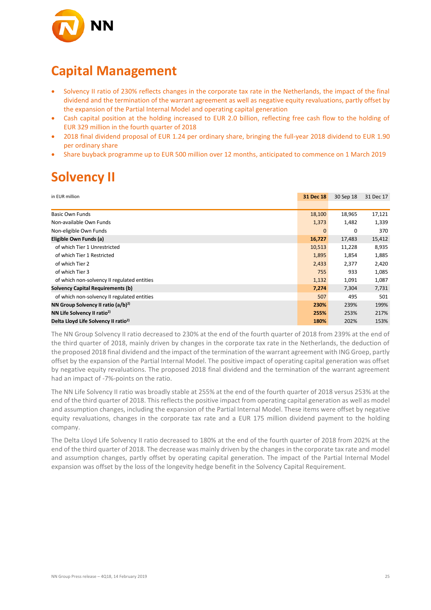

## **Capital Management**

- Solvency II ratio of 230% reflects changes in the corporate tax rate in the Netherlands, the impact of the final dividend and the termination of the warrant agreement as well as negative equity revaluations, partly offset by the expansion of the Partial Internal Model and operating capital generation
- Cash capital position at the holding increased to EUR 2.0 billion, reflecting free cash flow to the holding of EUR 329 million in the fourth quarter of 2018
- 2018 final dividend proposal of EUR 1.24 per ordinary share, bringing the full-year 2018 dividend to EUR 1.90 per ordinary share
- Share buyback programme up to EUR 500 million over 12 months, anticipated to commence on 1 March 2019

# **Solvency II**

| in EUR million                                   | 31 Dec 18    | 30 Sep 18 | 31 Dec 17 |
|--------------------------------------------------|--------------|-----------|-----------|
|                                                  |              |           |           |
| <b>Basic Own Funds</b>                           | 18,100       | 18,965    | 17,121    |
| Non-available Own Funds                          | 1,373        | 1,482     | 1,339     |
| Non-eligible Own Funds                           | $\mathbf{0}$ | 0         | 370       |
| Eligible Own Funds (a)                           | 16,727       | 17,483    | 15,412    |
| of which Tier 1 Unrestricted                     | 10,513       | 11,228    | 8,935     |
| of which Tier 1 Restricted                       | 1,895        | 1,854     | 1,885     |
| of which Tier 2                                  | 2,433        | 2,377     | 2,420     |
| of which Tier 3                                  | 755          | 933       | 1,085     |
| of which non-solvency II regulated entities      | 1,132        | 1,091     | 1,087     |
| <b>Solvency Capital Requirements (b)</b>         | 7,274        | 7,304     | 7,731     |
| of which non-solvency II regulated entities      | 507          | 495       | 501       |
| NN Group Solvency II ratio $(a/b)^{2}$           | 230%         | 239%      | 199%      |
| NN Life Solvency II ratio <sup>2)</sup>          | 255%         | 253%      | 217%      |
| Delta Lloyd Life Solvency II ratio <sup>2)</sup> | 180%         | 202%      | 153%      |

The NN Group Solvency II ratio decreased to 230% at the end of the fourth quarter of 2018 from 239% at the end of the third quarter of 2018, mainly driven by changes in the corporate tax rate in the Netherlands, the deduction of the proposed 2018 final dividend and the impact of the termination of the warrant agreement with ING Groep, partly offset by the expansion of the Partial Internal Model. The positive impact of operating capital generation was offset by negative equity revaluations. The proposed 2018 final dividend and the termination of the warrant agreement had an impact of -7%-points on the ratio.

The NN Life Solvency II ratio was broadly stable at 255% at the end of the fourth quarter of 2018 versus 253% at the end of the third quarter of 2018. This reflects the positive impact from operating capital generation as well as model and assumption changes, including the expansion of the Partial Internal Model. These items were offset by negative equity revaluations, changes in the corporate tax rate and a EUR 175 million dividend payment to the holding company.

The Delta Lloyd Life Solvency II ratio decreased to 180% at the end of the fourth quarter of 2018 from 202% at the end of the third quarter of 2018. The decrease was mainly driven by the changes in the corporate tax rate and model and assumption changes, partly offset by operating capital generation. The impact of the Partial Internal Model expansion was offset by the loss of the longevity hedge benefit in the Solvency Capital Requirement.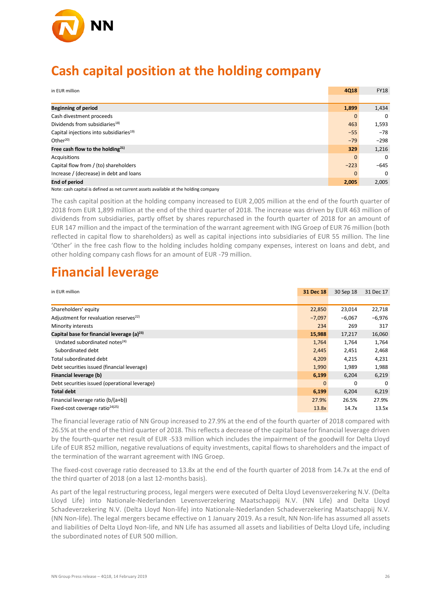

### **Cash capital position at the holding company**

| in EUR million                                                                       | <b>4Q18</b> | <b>FY18</b> |
|--------------------------------------------------------------------------------------|-------------|-------------|
|                                                                                      |             |             |
| <b>Beginning of period</b>                                                           | 1,899       | 1,434       |
| Cash divestment proceeds                                                             | $\Omega$    | $\Omega$    |
| Dividends from subsidiaries <sup>18)</sup>                                           | 463         | 1,593       |
| Capital injections into subsidiaries <sup>19)</sup>                                  | $-55$       | $-78$       |
| Other <sup>20</sup>                                                                  | $-79$       | $-298$      |
| Free cash flow to the holding $^{21}$                                                | 329         | 1,216       |
| Acquisitions                                                                         | $\Omega$    | $\Omega$    |
| Capital flow from / (to) shareholders                                                | $-223$      | $-645$      |
| Increase / (decrease) in debt and loans                                              | $\Omega$    | $\Omega$    |
| <b>End of period</b>                                                                 | 2,005       | 2,005       |
| Note: cash capital is defined as net current assets available at the holding company |             |             |

The cash capital position at the holding company increased to EUR 2,005 million at the end of the fourth quarter of 2018 from EUR 1,899 million at the end of the third quarter of 2018. The increase was driven by EUR 463 million of dividends from subsidiaries, partly offset by shares repurchased in the fourth quarter of 2018 for an amount of EUR 147 million and the impact of the termination of the warrant agreement with ING Groep of EUR 76 million (both reflected in capital flow to shareholders) as well as capital injections into subsidiaries of EUR 55 million. The line 'Other' in the free cash flow to the holding includes holding company expenses, interest on loans and debt, and other holding company cash flows for an amount of EUR -79 million.

# **Financial leverage**

| in EUR million                                         | 31 Dec 18    | 30 Sep 18 | 31 Dec 17 |
|--------------------------------------------------------|--------------|-----------|-----------|
|                                                        |              |           |           |
| Shareholders' equity                                   | 22,850       | 23,014    | 22,718    |
| Adjustment for revaluation reserves <sup>22)</sup>     | $-7,097$     | $-6.067$  | $-6,976$  |
| Minority interests                                     | 234          | 269       | 317       |
| Capital base for financial leverage (a) <sup>23)</sup> | 15,988       | 17,217    | 16,060    |
| Undated subordinated notes <sup>24)</sup>              | 1,764        | 1,764     | 1,764     |
| Subordinated debt                                      | 2,445        | 2,451     | 2,468     |
| Total subordinated debt                                | 4,209        | 4,215     | 4,231     |
| Debt securities issued (financial leverage)            | 1,990        | 1,989     | 1,988     |
| <b>Financial leverage (b)</b>                          | 6,199        | 6,204     | 6,219     |
| Debt securities issued (operational leverage)          | $\mathbf{0}$ | 0         | $\Omega$  |
| <b>Total debt</b>                                      | 6,199        | 6,204     | 6,219     |
| Financial leverage ratio (b/(a+b))                     | 27.9%        | 26.5%     | 27.9%     |
| Fixed-cost coverage ratio <sup>24</sup> <sup>25</sup>  | 13.8x        | 14.7x     | 13.5x     |

The financial leverage ratio of NN Group increased to 27.9% at the end of the fourth quarter of 2018 compared with 26.5% at the end of the third quarter of 2018. This reflects a decrease of the capital base for financial leverage driven by the fourth-quarter net result of EUR -533 million which includes the impairment of the goodwill for Delta Lloyd Life of EUR 852 million, negative revaluations of equity investments, capital flows to shareholders and the impact of the termination of the warrant agreement with ING Groep.

The fixed-cost coverage ratio decreased to 13.8x at the end of the fourth quarter of 2018 from 14.7x at the end of the third quarter of 2018 (on a last 12-months basis).

As part of the legal restructuring process, legal mergers were executed of Delta Lloyd Levensverzekering N.V. (Delta Lloyd Life) into Nationale-Nederlanden Levensverzekering Maatschappij N.V. (NN Life) and Delta Lloyd Schadeverzekering N.V. (Delta Lloyd Non-life) into Nationale-Nederlanden Schadeverzekering Maatschappij N.V. (NN Non-life). The legal mergers became effective on 1 January 2019. As a result, NN Non-life has assumed all assets and liabilities of Delta Lloyd Non-life, and NN Life has assumed all assets and liabilities of Delta Lloyd Life, including the subordinated notes of EUR 500 million.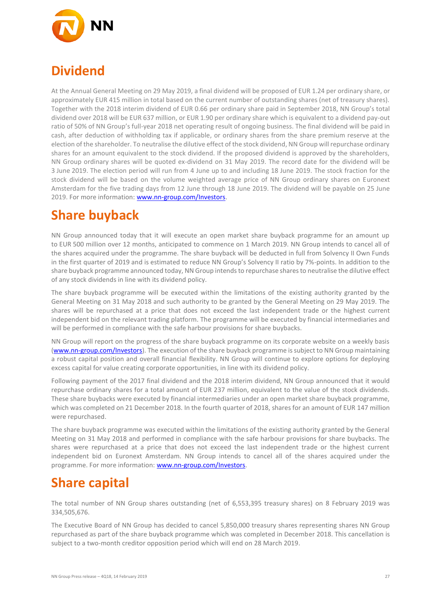

## **Dividend**

At the Annual General Meeting on 29 May 2019, a final dividend will be proposed of EUR 1.24 per ordinary share, or approximately EUR 415 million in total based on the current number of outstanding shares (net of treasury shares). Together with the 2018 interim dividend of EUR 0.66 per ordinary share paid in September 2018, NN Group's total dividend over 2018 will be EUR 637 million, or EUR 1.90 per ordinary share which is equivalent to a dividend pay-out ratio of 50% of NN Group's full-year 2018 net operating result of ongoing business. The final dividend will be paid in cash, after deduction of withholding tax if applicable, or ordinary shares from the share premium reserve at the election of the shareholder. To neutralise the dilutive effect of the stock dividend, NN Group will repurchase ordinary shares for an amount equivalent to the stock dividend. If the proposed dividend is approved by the shareholders, NN Group ordinary shares will be quoted ex-dividend on 31 May 2019. The record date for the dividend will be 3 June 2019. The election period will run from 4 June up to and including 18 June 2019. The stock fraction for the stock dividend will be based on the volume weighted average price of NN Group ordinary shares on Euronext Amsterdam for the five trading days from 12 June through 18 June 2019. The dividend will be payable on 25 June 2019. For more information: [www.nn-group.com/Investors.](https://www.nn-group.com/Investors/Share-information-1/Dividend-policy-and-dividend-history.htm)

## **Share buyback**

NN Group announced today that it will execute an open market share buyback programme for an amount up to EUR 500 million over 12 months, anticipated to commence on 1 March 2019. NN Group intends to cancel all of the shares acquired under the programme. The share buyback will be deducted in full from Solvency II Own Funds in the first quarter of 2019 and is estimated to reduce NN Group's Solvency II ratio by 7%-points. In addition to the share buyback programme announced today, NN Group intends to repurchase shares to neutralise the dilutive effect of any stock dividends in line with its dividend policy.

The share buyback programme will be executed within the limitations of the existing authority granted by the General Meeting on 31 May 2018 and such authority to be granted by the General Meeting on 29 May 2019. The shares will be repurchased at a price that does not exceed the last independent trade or the highest current independent bid on the relevant trading platform. The programme will be executed by financial intermediaries and will be performed in compliance with the safe harbour provisions for share buybacks.

NN Group will report on the progress of the share buyback programme on its corporate website on a weekly basis [\(www.nn-group.com/Investors\)](https://www.nn-group.com/Investors/Share-information-1/Share-buyback-programme.htm). The execution of the share buyback programme is subject to NN Group maintaining a robust capital position and overall financial flexibility. NN Group will continue to explore options for deploying excess capital for value creating corporate opportunities, in line with its dividend policy.

Following payment of the 2017 final dividend and the 2018 interim dividend, NN Group announced that it would repurchase ordinary shares for a total amount of EUR 237 million, equivalent to the value of the stock dividends. These share buybacks were executed by financial intermediaries under an open market share buyback programme, which was completed on 21 December 2018. In the fourth quarter of 2018, shares for an amount of EUR 147 million were repurchased.

The share buyback programme was executed within the limitations of the existing authority granted by the General Meeting on 31 May 2018 and performed in compliance with the safe harbour provisions for share buybacks. The shares were repurchased at a price that does not exceed the last independent trade or the highest current independent bid on Euronext Amsterdam. NN Group intends to cancel all of the shares acquired under the programme. For more information[: www.nn-group.com/Investors.](https://www.nn-group.com/Investors/Share-information-1/Share-buyback-programme.htm)

# **Share capital**

The total number of NN Group shares outstanding (net of 6,553,395 treasury shares) on 8 February 2019 was 334,505,676.

The Executive Board of NN Group has decided to cancel 5,850,000 treasury shares representing shares NN Group repurchased as part of the share buyback programme which was completed in December 2018. This cancellation is subject to a two-month creditor opposition period which will end on 28 March 2019.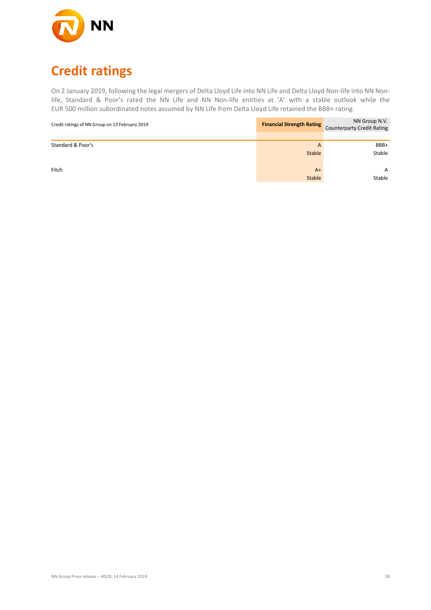

# **Credit ratings**

On 2 January 2019, following the legal mergers of Delta Lloyd Life into NN Life and Delta Lloyd Non-life into NN Nonlife, Standard & Poor's rated the NN Life and NN Non-life entities at 'A' with a stable outlook while the EUR 500 million subordinated notes assumed by NN Life from Delta Lloyd Life retained the BBB+ rating.

| Credit ratings of NN Group on 13 February 2019 | <b>Financial Strength Rating</b> | NN Group N.V.<br><b>Counterparty Credit Rating</b> |
|------------------------------------------------|----------------------------------|----------------------------------------------------|
|                                                |                                  |                                                    |
| Standard & Poor's                              | A                                | BBB+                                               |
|                                                | <b>Stable</b>                    | Stable                                             |
| Fitch                                          | $A+$                             | A                                                  |
|                                                | <b>Stable</b>                    | Stable                                             |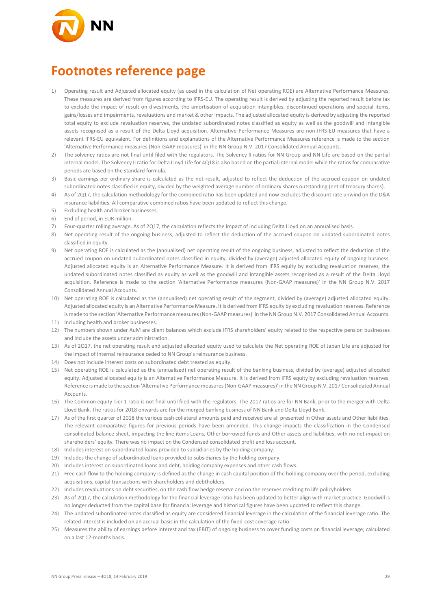

## **Footnotes reference page**

- 1) Operating result and Adjusted allocated equity (as used in the calculation of Net operating ROE) are Alternative Performance Measures. These measures are derived from figures according to IFRS-EU. The operating result is derived by adjusting the reported result before tax to exclude the impact of result on divestments, the amortisation of acquisition intangibles, discontinued operations and special items, gains/losses and impairments, revaluations and market & other impacts. The adjusted allocated equity is derived by adjusting the reported total equity to exclude revaluation reserves, the undated subordinated notes classified as equity as well as the goodwill and intangible assets recognised as a result of the Delta Lloyd acquisition. Alternative Performance Measures are non-IFRS-EU measures that have a relevant IFRS-EU equivalent. For definitions and explanations of the Alternative Performance Measures reference is made to the section 'Alternative Performance measures (Non-GAAP measures)' in the NN Group N.V. 2017 Consolidated Annual Accounts.
- 2) The solvency ratios are not final until filed with the regulators. The Solvency II ratios for NN Group and NN Life are based on the partial internal model. The Solvency II ratio for Delta Lloyd Life for 4Q18 is also based on the partial internal model while the ratios for comparative periods are based on the standard formula.
- 3) Basic earnings per ordinary share is calculated as the net result, adjusted to reflect the deduction of the accrued coupon on undated subordinated notes classified in equity, divided by the weighted average number of ordinary shares outstanding (net of treasury shares).
- 4) As of 2Q17, the calculation methodology for the combined ratio has been updated and now excludes the discount rate unwind on the D&A insurance liabilities. All comparative combined ratios have been updated to reflect this change.
- 5) Excluding health and broker businesses.
- 6) End of period, in EUR million.
- 7) Four-quarter rolling average. As of 2Q17, the calculation reflects the impact of including Delta Lloyd on an annualised basis.
- 8) Net operating result of the ongoing business, adjusted to reflect the deduction of the accrued coupon on undated subordinated notes classified in equity.
- 9) Net operating ROE is calculated as the (annualised) net operating result of the ongoing business, adjusted to reflect the deduction of the accrued coupon on undated subordinated notes classified in equity, divided by (average) adjusted allocated equity of ongoing business. Adjusted allocated equity is an Alternative Performance Measure. It is derived from IFRS equity by excluding revaluation reserves, the undated subordinated notes classified as equity as well as the goodwill and intangible assets recognised as a result of the Delta Lloyd acquisition. Reference is made to the section 'Alternative Performance measures (Non-GAAP measures)' in the NN Group N.V. 2017 Consolidated Annual Accounts.
- 10) Net operating ROE is calculated as the (annualised) net operating result of the segment, divided by (average) adjusted allocated equity. Adjusted allocated equity is an Alternative Performance Measure. It is derived from IFRS equity by excluding revaluation reserves. Reference is made to the section 'Alternative Performance measures (Non-GAAP measures)' in the NN Group N.V. 2017 Consolidated Annual Accounts.
- 11) Including health and broker businesses.
- 12) The numbers shown under AuM are client balances which exclude IFRS shareholders' equity related to the respective pension businesses and include the assets under administration.
- 13) As of 2Q17, the net operating result and adjusted allocated equity used to calculate the Net operating ROE of Japan Life are adjusted for the impact of internal reinsurance ceded to NN Group's reinsurance business.
- 14) Does not include interest costs on subordinated debt treated as equity.
- 15) Net operating ROE is calculated as the (annualised) net operating result of the banking business, divided by (average) adjusted allocated equity. Adjusted allocated equity is an Alternative Performance Measure. It is derived from IFRS equity by excluding revaluation reserves. Reference is made to the section 'Alternative Performance measures (Non-GAAP measures)' in the NN Group N.V. 2017 Consolidated Annual Accounts.
- 16) The Common equity Tier 1 ratio is not final until filed with the regulators. The 2017 ratios are for NN Bank, prior to the merger with Delta Lloyd Bank. The ratios for 2018 onwards are for the merged banking business of NN Bank and Delta Lloyd Bank.
- 17) As of the first quarter of 2018 the various cash collateral amounts paid and received are all presented in Other assets and Other liabilities. The relevant comparative figures for previous periods have been amended. This change impacts the classification in the Condensed consolidated balance sheet, impacting the line items Loans, Other borrowed funds and Other assets and liabilities, with no net impact on shareholders' equity. There was no impact on the Condensed consolidated profit and loss account.
- 18) Includes interest on subordinated loans provided to subsidiaries by the holding company.
- 19) Includes the change of subordinated loans provided to subsidiaries by the holding company.
- 20) Includes interest on subordinated loans and debt, holding company expenses and other cash flows.
- 21) Free cash flow to the holding company is defined as the change in cash capital position of the holding company over the period, excluding acquisitions, capital transactions with shareholders and debtholders.
- 22) Includes revaluations on debt securities, on the cash flow hedge reserve and on the reserves crediting to life policyholders.
- 23) As of 2Q17, the calculation methodology for the financial leverage ratio has been updated to better align with market practice. Goodwill is no longer deducted from the capital base for financial leverage and historical figures have been updated to reflect this change.
- 24) The undated subordinated notes classified as equity are considered financial leverage in the calculation of the financial leverage ratio. The related interest is included on an accrual basis in the calculation of the fixed-cost coverage ratio.
- 25) Measures the ability of earnings before interest and tax (EBIT) of ongoing business to cover funding costs on financial leverage; calculated on a last 12-months basis.